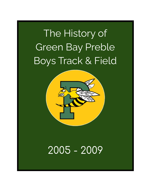# The History of Green Bay Preble Boys Track & Field



# 2005 - 2009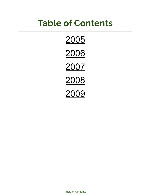# **Table of Contents**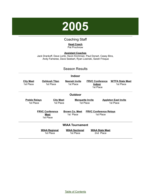

#### Coaching Staff

#### **Head Coach** Pat Prochnow

<span id="page-2-0"></span>**Assistant Coaches** Jack Drankoff, Dave Loritz, Kevin Kirchman, Paul Donart, Casey Bins, Andy Fameree, Dave Seebart, Ryan Losinski, Sarah Frisque

#### Season Results

#### **Indoor**

| <b>City Meet</b><br>1st Place     | <b>Oshkosh Titan</b><br>1st Place           | <b>Neenah Invite</b><br>1st Place  | <b>FRVC Conference</b><br><b>Indoor</b><br>1st Place | <b>W/TFA State Meet</b><br>1st Place     |
|-----------------------------------|---------------------------------------------|------------------------------------|------------------------------------------------------|------------------------------------------|
|                                   |                                             | <b>Outdoor</b>                     |                                                      |                                          |
| <b>Preble Relays</b><br>1st Place | <b>City Meet</b><br>1st Place               |                                    | <b>Marquette Invite</b><br>1st Place                 | <b>Appleton East Invite</b><br>1st Place |
|                                   | <b>FRVC Conference</b><br>Meet<br>1st Place | <b>Brown Co. Meet</b><br>1st Place | <b>FRVC Conference Relays</b><br>1st Place           |                                          |
| <b>WIAA Tournament</b>            |                                             |                                    |                                                      |                                          |
|                                   | <b>WIAA Regional</b><br>1st Place           | <b>WIAA Sectional</b><br>1st Place | <b>WIAA State Meet</b><br>2nd Place                  |                                          |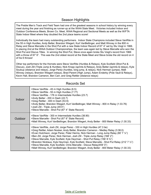#### Season Highlights

The Preble Men's Track and Field Team had one of the greatest seasons in school history by winning every meet during the year and finishing as runner-up at the WIAA State Meet. Victories included Indoor and Outdoor Conference Meets, Brown Co. Meet, WIAA Regional and Sectional Meets as well as the W/FTA State Indoor Meet where they doubled the 2nd place teams score!

Individually the team had many outstanding performers. Indoor State Champions included Steve VanRite in the 55 m High Hurdles, Andy Belter, Brandon Wiegert, Kurt VanBellinger, and Matt Winney in the 800 m Relay and Steve Marcelle in the Shot Put with a new State Indoor Record of 67' 4" set by Stu Voigt in 1966. In placing 2nd at the WIAA Outdoor Championships, the team was again led by Steve Marcelle who won the Shot Put and Discus Titles. In winning the Shot Put, Steve once again broke Stu Voigt's record from 1966 with a throw of 67' 6". This was the 2nd oldest record at the State Meet and Steve broke the old record on 4 of his 6 throws!

Other top performers for the Hornets were Steve VanRite (Hurdles & Relays), Kyle Scofield (Shot Put & Discus), Josh Zill (Triple Jump & Hurdles), Nick Kropp (sprints & Relays), Andy Belter (sprints & relays), Kyle Soukup (distance and relays), Jorge Perez (hurdles, long jump, & relays), Nick Herman (jumps), Matt Winney (relays), Brandon Wiegert (relays), Brad Parent (High Jump), Adam Enderby (Pole Vault & Relays), Kevin Hall, Brandon Cameron, Ben Carr, and Greg Rettler (distance relays)

#### Records Set

| Indoor  | >Steve VanRite - 45 m High Hurdles (6.5)<br>>Steve VanRite - 55 m High Hurdles (7.77)<br>>Steve VanRite - 176 m Intermediate Hurdles (23.7)<br>>Andy Belter - 200 m Dash (22.7)<br>>Greg Rettler - 400 m Dash (53.9)<br>>Andy Belter, Brandon Wiegert, Kurt VanBellinger, Matt Winney - 800 m Relay (1:33.76)<br>>Josh Zill - Triple Jump (45'4")<br>>Steve Marcelle - Shot Put (67' 4" State Record)                                                                                                                                                                                                                                                                                    |
|---------|------------------------------------------------------------------------------------------------------------------------------------------------------------------------------------------------------------------------------------------------------------------------------------------------------------------------------------------------------------------------------------------------------------------------------------------------------------------------------------------------------------------------------------------------------------------------------------------------------------------------------------------------------------------------------------------|
| Outdoor | >Steve VanRite - 300 m Intermediate Hurdles (38.90)<br>>Steve Marcelle - Shot Put (67' 6" State Record)<br>>Matt Winney, Kurt VanBellinger, Brandon Wiegert, Andy Belter - 800 Meter Relay (1:30.33)                                                                                                                                                                                                                                                                                                                                                                                                                                                                                     |
| Relays  | >Steve VanRite, Josh Zill, Jorge Perez - 330 m High Hurdles (47.3 tie)<br>>Greg Rettler, Adam Nooker, Andy Belter, Brandon Cameron - Medley Relay (3:38.0)<br>>Evan Hutchison, Jorge Perez, Peter Herms, Nick Herman - Long Jump Relay (80' 7'/4")<br>>Ben Zill, Jorge Perez, Nick Herman, Josh Zill - Triple Jump Relay (168' 2")<br>>Steve Marcelle, Kyle Scofield, Kyle Heyrman - Shot Put Relay (156' 8 3/4")<br>>Brandon Nicklaus, Kyle Heyrman, Kyle Scofield, Steve Marcelle - Shot Put Relay (212' 7 1/2")<br>>Steve Marcelle, Kyle Scofield, Chris Marcelle - Discus Relay(459'0")<br>>Matt Winney, Kurt VanBellinger, Brandon Wiegert, Andy Belter - 800 Meter Relay (1:30.33) |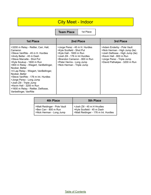## City Meet - Indoor

**Team Place** | 1st Place

| <b>1st Place</b>                                                                                                                                                                                                                                                                                                                                                                                                                                                                           | 2nd Place                                                                                                                                                                                                          | 3rd Place                                                                                                                                                                                  |
|--------------------------------------------------------------------------------------------------------------------------------------------------------------------------------------------------------------------------------------------------------------------------------------------------------------------------------------------------------------------------------------------------------------------------------------------------------------------------------------------|--------------------------------------------------------------------------------------------------------------------------------------------------------------------------------------------------------------------|--------------------------------------------------------------------------------------------------------------------------------------------------------------------------------------------|
| >3200 m Relay - Rettler, Carr, Hall,<br>Cameron<br>>Steve VanRite - 45 m H. Hurdles<br>>Andy Belter - 45 m Dash<br>>Steve Marcelle - Shot Put<br>>Kyle Soukup - 1600 m Run<br>>800 m Relay - Wiegert, VanBellinger,<br>Nooker, Belter<br>>4 Lap Relay - Wiegert, VanBellinger,<br>Nooker, Belter<br>>Steve VanRite - 176 m Int. Hurdles<br>>Jorge Perez - Long Jump<br>>Josh Zill - Triple Jump<br>>Kevin Hall - 3200 m Run<br>>1600 m Relay - Rettler, Delfosse,<br>Vanbellinger, VanRite | >Jorge Perez - 45 m H. Hurdles<br>>Kyle Scofield - Shot Put<br>>Kyle Hall - 1600 m Run<br>>Josh Zill - 176 m Int Hurdles<br>>Brandon Cameron - 800 m Run<br>>Peter Herms - Long Jump<br>>Nick Herman - Triple Jump | >Adam Enderby - Pole Vault<br>>Nick Herman - High Jump (tie)<br>>Josh Delfosse - High Jump (tie)<br>>Kevin Hall - 800 m Run<br>>Jorge Perez - Triple Jump<br>>David Pathakjee - 3200 m Run |

| 4th Place                                                                         | <b>5th Place</b>                                                                                  |
|-----------------------------------------------------------------------------------|---------------------------------------------------------------------------------------------------|
| >Matt Reidinger - Pole Vault<br>>Ben Carr - 800 m Run<br>>Nick Herman - Long Jump | >Josh Zill - 45 m H Hrudles<br>>Kyle Scofield - 45 m Dash<br>>Matt Reidinger - 176 m Int. Hurdles |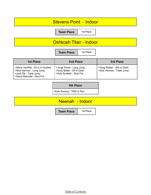#### Stevens Point - Indoor

**Team Place** | 1st Place

#### Oshkosh Titan - Indoor

**Team Place** | 1st Place

| 1st Place                                                                                                             | 2nd Place                                                                         | 3rd Place                                                |
|-----------------------------------------------------------------------------------------------------------------------|-----------------------------------------------------------------------------------|----------------------------------------------------------|
| >Steve VanRite - 55 m H Hurdles<br>>Nick Herman - Long Jump<br>>Josh Zill - Triple Jump<br>>Steve Marcelle - Shot Put | >Jorge Perez - Long Jump<br>>Andy Belter - 55 m Dash<br>>Kyle Scofield - Shot Put | >Greg Rettler - 400 m Dash<br>>Nick Herman - Triple Jump |

#### **5th Place**

>Kyle Soukup - 1600 m Run

#### Neenah - Indoor

**Team Place** | 1st Place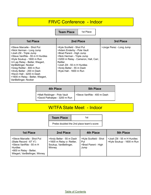## FRVC Conference - Indoor

**Team Place** | 1st Place

| 1st Place                                                                                                                                                                                                                                                                                                                                                        | 2nd Place                                                                                                                                                                                                                                                  | 3rd Place                |
|------------------------------------------------------------------------------------------------------------------------------------------------------------------------------------------------------------------------------------------------------------------------------------------------------------------------------------------------------------------|------------------------------------------------------------------------------------------------------------------------------------------------------------------------------------------------------------------------------------------------------------|--------------------------|
| >Steve Marcelle - Shot Put<br>>Nick Herman - Long Jump<br>>Josh Zill - Triple Jump<br>>Steve VanRite - 55 m H Hurdles<br>>Kyle Soukup - 1600 m Run<br>>4 Lap Relay - Belter, Wiegert,<br>VanBellinger, Nooker<br>>Greg Rettler - 800 m Run<br>>Andy Belter - 200 m Dash<br>>Kevin Hall - 3200 m Dash<br>>1600 m Relay - Belter, Wiegert,<br>VanBellinger, Nooker | >Kyle Scofield - Shot Put<br>>Adam Enderby - Pole Vault<br>>Brad Parent - High Jump<br>>Nick Herman - Triple Jump<br>>3200 m Relay - Cameron, Hall, Carr,<br>Rettler<br>>Josh Zill - 55 m H Hurdles<br>>Andy Belter - 55 m Dash<br>>Kyle Hall - 1600 m Run | >Jorge Perez - Long Jump |

| 4th Place                                                     | <b>5th Place</b>            |
|---------------------------------------------------------------|-----------------------------|
| >Matt Reidinger - Pole Vault<br>>David Pathakjee - 3200 m Run | >Steve VanRite - 400 m Dash |

## W/TFA State Meet - Indoor

| <b>Team Place</b>                        | 1st |
|------------------------------------------|-----|
| Prebe doubled the 2nd place team's score |     |

| <b>1st Place</b>                                                                                                                                                | 2nd Place                                                                                | 4th Place                                                   | <b>5th Place</b>                                         |
|-----------------------------------------------------------------------------------------------------------------------------------------------------------------|------------------------------------------------------------------------------------------|-------------------------------------------------------------|----------------------------------------------------------|
| >Steve Marcelle - Shot Put<br>(State Record - $67'$ 4")<br>>Steve VanRite - 55 m H<br><b>Hurdles</b><br>>800 m Relay - Belter,<br>Wiegert, VanBellinger, Winney | >Andy Belter - 55 m Dash<br>>1600 m Relay o- Rettler,<br>Soukup, VanBellinger,<br>Winney | >Kyle Scofield - Shot<br>Put<br>>Brad Parent - High<br>Jump | >Josh Zill - 55 m H Hurdles<br>>Kyle Soukup - 1600 m Run |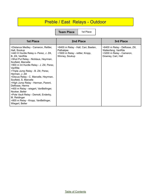## Preble / East Relays - Outdoor

**Team Place** | 1st Place

| <b>1st Place</b>                                                                                                                                                                                                                                                                                                                                                                                                                                                                                                                                                                                            | 2nd Place                                                                                             | 3rd Place                                                                                                |
|-------------------------------------------------------------------------------------------------------------------------------------------------------------------------------------------------------------------------------------------------------------------------------------------------------------------------------------------------------------------------------------------------------------------------------------------------------------------------------------------------------------------------------------------------------------------------------------------------------------|-------------------------------------------------------------------------------------------------------|----------------------------------------------------------------------------------------------------------|
| >Distance Medley - Cameron, Rettler,<br>Hall, Soukup<br>>440 H Hurdle Relay o- Perez, J. Zill,<br>B. Zill, VanRite<br>>Shot Put Relay - Nicklaus, Heyrman,<br>Scofield, Marcelle<br>>900 m Int Hurdle Relay - J. Zill, Perez,<br>VanRite<br>>Triple Jump Relay - B. Zill, Perez,<br>Herman, J. Zill<br>>Discus Relay - C. Marcelle, Heyrman,<br>Scofield, S. Marcelle<br>>High Jump Relay - Herman, Parent,<br>Delfosse, Herms<br>>400 m Relay - wiegert, VanBellinger,<br>Nooker, Belter<br>>Pole Vault Relay - Demott, Enderby,<br>M. Reidinger<br>>800 m Relay - Kropp, VanBellinger,<br>Wiegert, Belter | >6400 m Relay - Hall, Carr, Baeten,<br>Pathakjee<br>>1600 m Relay - rettler, Kropp,<br>Winney, Soukup | >6400 m Relay - Delfosse, Zill,<br>Wallenfang, VanRite<br>>3200 m Relay - Cameron,<br>Downey, Carr, Hall |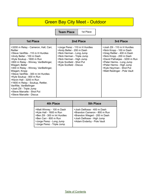## Green Bay City Meet - Outdoor

**Team Place** | 1st Place

| <b>1st Place</b>                                                                                                                                                                                                                                                                                                                                                                                                                                                                                                    | 2nd Place                                                                                                                                                                                                 | 3rd Place                                                                                                                                                                                                                                                               |
|---------------------------------------------------------------------------------------------------------------------------------------------------------------------------------------------------------------------------------------------------------------------------------------------------------------------------------------------------------------------------------------------------------------------------------------------------------------------------------------------------------------------|-----------------------------------------------------------------------------------------------------------------------------------------------------------------------------------------------------------|-------------------------------------------------------------------------------------------------------------------------------------------------------------------------------------------------------------------------------------------------------------------------|
| >3200 m Relay - Cameron, Hall, Carr,<br>Rettler<br>>Steve VanRite - 110 m H Hurdles<br>>Andy Belter - 100 m Dash<br>>Kyle Soukup - 1600 m Run<br>>800 m Relay - Winney, VanBellinger,<br>Wiegert, Belter<br>>400 m Relay - Winney, VanBellinger,<br>Wiegert, Kropp<br>>Steve VanRite - 300 m Int Hurdles<br>>Kyle Soukup - 800 m Run<br>>Kevin Hall - 3200 m Run<br>>1600 m Relay - Soukup, Rettler,<br>VanRite, VanBellinger<br>>Josh Zill - Triple Jump<br>>Steve Marcelle - Shot Put<br>>Steve Marcelle - Discus | >Jorge Perez - 110 m H Hurdles<br>>Andy Belter - 200 m Dash<br>>Nick Herman - Long Jump<br>>Nick Herman - Triple Jump<br>>Nick Herman - High Jump<br>>Kyle Scofield - Shot Put<br>>Kyle Scofield - Discus | >Josh Zill - 110 m H Hurdles<br>>Nick Kropp - 100 m Dash<br>>Greg Rettler - 400 m Dash<br>>Nick Kropp - 200 m Dash<br>>David Pathakjee - 3200 m Run<br>>Peter Herms - Long Jump<br>>Peter Herms - High Jump<br>>Kyle Heyrman - Shot Put<br>>Matt Reidinger - Pole Vault |

| 4th Place                                                                                                                                                                | <b>5th Place</b>                                                                                                                                         |
|--------------------------------------------------------------------------------------------------------------------------------------------------------------------------|----------------------------------------------------------------------------------------------------------------------------------------------------------|
| >Matt Winney - 100 m Dash<br>>Kyle Hall - 1600 m Run<br>>Ben Zill - 300 m Int Hurdles<br>>Ben Carr - 800 m Run<br>>Jorge Perez - Long Jump<br>>Jorge Perez - Triple Jump | >Josh Delfosse - 400 m Dash<br>>Brandon Cameron - 800 m Run<br>>Brandon Wiegert - 200 m Dash<br>>Josh Delfosse - High Jump<br>>Adam Enderby - Pole Vault |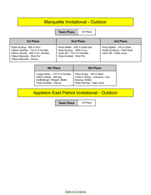#### Marquette Invitational - Outdoor

**Team Place** | 1st Place

| <b>1st Place</b>                                                                                                                                              | 2nd Place                                                                                                                 | 3rd Place                                                                           |
|---------------------------------------------------------------------------------------------------------------------------------------------------------------|---------------------------------------------------------------------------------------------------------------------------|-------------------------------------------------------------------------------------|
| >Kyle Soukup - 800 m Run<br>>Steve VanRite - 110 m H Hurdles<br>>Steve Vanrite - 300 m Int. Hurdles<br>>Steve Marcelle - Shot Put<br>>Steve Marcelle - Discus | >Andy Belter - 200 m Dash (tie)<br>>Kyle Soukup - 1600 m run<br>>Josh Zill - 110 m H Hurdles<br>>Kyle Scofield - Shot Put | >Andy Belter - 100 m Dash<br>>Adam Enderby - Pole Vault<br>>Josh Zill - Triple Jump |

| <b>4th Place</b>               | <b>5th Place</b>               |
|--------------------------------|--------------------------------|
| >Jorge Perez - 110 m H Hurdles | >Nick Kropp - 100 m Dash       |
| >800 m Relay - Winney,         | >3200 m Relay - Cameron, Carr, |
| VanBellinger, Weigert, Belter  | Downey, Rettler                |
| >Kyle Scofield - Discus        | >Nick Herman - High Jump       |

## Appleton East Patriot Invitational - Outdoor

**Team Place** | 1st Place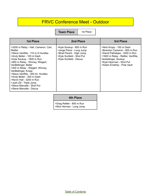#### FRVC Conference Meet - Outdoor

**Team Place** | 1st Place

| <b>1st Place</b>                                                                                                                                                                                                                                                                                                                                                                                                                                       | 2nd Place                                                                                                                                | 3rd Place                                                                                                                                                                                                        |
|--------------------------------------------------------------------------------------------------------------------------------------------------------------------------------------------------------------------------------------------------------------------------------------------------------------------------------------------------------------------------------------------------------------------------------------------------------|------------------------------------------------------------------------------------------------------------------------------------------|------------------------------------------------------------------------------------------------------------------------------------------------------------------------------------------------------------------|
| >3200 m Relay - Hall, Cameron, Carr,<br>Rettler<br>>Steve VanRite - 110 m H Hurdles<br>>Andy Belter - 100 m Dash<br>>Kyle Soukup - 1600 m Run<br>>800 m Relay - Winney, Wiegert,<br>VanBellinger, Belter<br>>400 m Relay - Wiegert, Winney,<br>VanBellinger, Kropp<br>>Steve VanRite - 300 Int. Hurdles<br>>Andy Belter - 200 m Dash<br>>Kevin Hall - 3200 m Run<br>>Josh Zill - Triple Jump<br>>Steve Marcelle - Shot Put<br>>Steve Marcelle - Discus | >Kyle Soukup - 800 m Run<br>>Jorge Perez - Long Jump<br>>Brad Parent - High Jump<br>>Kyle Scofield - Shot Put<br>>Kyle Scofield - Discus | >Nick Kropp - 100 m Dash<br>>Brandon Cameron - 800 m Run<br>>David Pathakjee - 3200 m Run<br>>1600 m Relay - Rettler, VanRite,<br>Vanbellinger, Soukup<br>>Kyle Heyrman - Shot Put<br>>Adam Enderby - Pole Vault |

#### **4th Place**

>Greg Rettler - 800 m Run >Nick Herman - Long Jump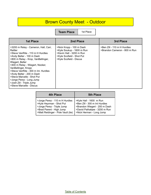## Brown County Meet - Outdoor

**Team Place** | 1st Place

| <b>1st Place</b>                                                                                                                                                                                                                                                                                                                                                                                                          | 2nd Place                                                                                                                                 | 3rd Place                                                   |
|---------------------------------------------------------------------------------------------------------------------------------------------------------------------------------------------------------------------------------------------------------------------------------------------------------------------------------------------------------------------------------------------------------------------------|-------------------------------------------------------------------------------------------------------------------------------------------|-------------------------------------------------------------|
| >3200 m Relay - Cameron, Hall, Carr,<br>Rettler<br>>Steve VanRite - 110 m H Hurdles<br>>Andy Belter - 100 m Dash<br>>800 m Relay - Krop, VanBellinger,<br>Wiegert, Belter<br>>400 m Relay - Wiegert, Nooker,<br>VanBellinger, Kropp<br>>Steve VanRite - 300 m Int. Hurdles<br>>Andy Belter - 200 m Dash<br>>Steve Marcelle - Shot Put<br>>Jorge Perez - Long Jump<br>>Josh Zill - Triple Jump<br>>Steve Marcelle - Discus | >Nick Kropp - 100 m Dash<br>>Kyle Soukup - 1600 m Run<br>>Kevin Hall - 3200 m Run<br>>Kyle Scofield - Shot Put<br>>Kyle Scofield - Discus | >Ben Zill - 110 m H Hurdles<br>>Brandon Cameron - 800 m Run |

| <b>4th Place</b>                   | <b>5th Place</b>              |
|------------------------------------|-------------------------------|
| >Jorge Perez - 110 m H Hurdles     | >Kyle Hall - 1600 m Run       |
| >Kyle Heyrman - Shot Put           | >Ben Zill - 300 m Int Hurdles |
| >Jorge Perez - Triple Jump         | >Brandon Wiegert - 200 m Dash |
| >Brad Parent - High Jump           | >David Pathakjee - 3200 m Run |
| >Matt Reidinger - Pole Vault (tie) | >Nick Herman - Long Jump      |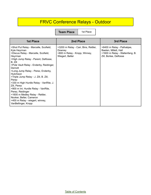## FRVC Conference Relays - Outdoor

**Team Place** | 1st Place

| <b>1st Place</b>                                                                                                                                                                                                                                                                                                                                                                                                                                                                                                                                                  | 2nd Place                                                                                          | 3rd Place                                                                                                       |
|-------------------------------------------------------------------------------------------------------------------------------------------------------------------------------------------------------------------------------------------------------------------------------------------------------------------------------------------------------------------------------------------------------------------------------------------------------------------------------------------------------------------------------------------------------------------|----------------------------------------------------------------------------------------------------|-----------------------------------------------------------------------------------------------------------------|
| >Shot Put Relay - Marcelle, Scofield,<br>Kyle Heyrman<br>>Discus Relay - Marcelle, Scofield,<br>Heyrman<br>>High Jump Relay - Parent, Delfosse,<br>B. Zill<br>>Pole Vault Relay - Enderby, Reidinger,<br>Demott<br>>Long Jump Relay - Perez, Enderby,<br>Hutchison<br>>Triple Jump Relay - J. Zill, B. Zill,<br>Perez<br>>330 m High Hurdle Relay - VanRite, J.<br>Zill, Perez<br>>900 m Int. Hurdle Relay - VanRite,<br>Perez, Reidinger<br>>1600 m Medley Relay - Rettler,<br>Nooker, Belter, Cameron<br>>400 m Relay - wiegert, winney,<br>VanBellinger, Kropp | >3200 m Relay - Carr, Bins, Rettler,<br>Downey<br>>800 m Relay - Kropp, Winney,<br>Wiegert, Belter | >6400 m Relay - Pathakjee,<br>Baeten, Millett, Hall<br>>1600 m Relay - Wallenfang, B.<br>Zill, Borlee, Delfosse |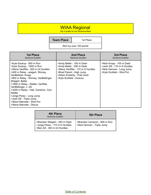#### WIAA Regional

Top 4 qualify for the Sectional Meet

|                                                                                                                                                                                                                                                                                                                                                                                                                                                    | <b>Team Place</b>       | 1st Place                                                                                                                                            |                                                                                                                   |
|----------------------------------------------------------------------------------------------------------------------------------------------------------------------------------------------------------------------------------------------------------------------------------------------------------------------------------------------------------------------------------------------------------------------------------------------------|-------------------------|------------------------------------------------------------------------------------------------------------------------------------------------------|-------------------------------------------------------------------------------------------------------------------|
|                                                                                                                                                                                                                                                                                                                                                                                                                                                    |                         | Won by over 100 points                                                                                                                               |                                                                                                                   |
| <b>1st Place</b><br><b>Sectional Qualifier</b>                                                                                                                                                                                                                                                                                                                                                                                                     |                         | 2nd Place<br><b>Sectional Qualifier</b>                                                                                                              | 3rd Place<br><b>Sectional Qualifier</b>                                                                           |
| >Kyle Soukup - 800 m Run<br>>Kyle Soukup - 1600 m Run<br>>Steve VanRite - 300 m Int Hurdles<br>>400 m Relay - wiegert, Winney,<br>VanBelliner, Kropp<br>>800 m Relay - Winney, VanBellinger,<br>Wiegert, Belter<br>>1600 m Relay - Rettler, VanRite,<br>VanBellinger, J. Zill<br>>3200 m Relay - Hall, Cameron, Carr,<br>Rettler<br>>Jorge Perez - Long Jump<br>>Josh Zill - Triple Jump<br>>Steve Marcelle - Shot Put<br>>Steve Marcelle - Discus | >Kyle Scofield - Duscus | >Andy Belter - 100 m Dash<br>>Andy Belter - 200 m Dash<br>>Steve VanRite - 110 m H Hurdles<br>>Brad Parent - High Jump<br>>Adam Enderby - Pole Vault | >Nick Kropp - 100 m Dash<br>>Josh Zill - 110 m H Hurdles<br>>Nick Herman - Long Jump<br>>Kyle Scofield - Shot Put |

| 4th Place<br><b>Sectional Qualifier</b>                                                          | <b>5th Place</b>                                           |
|--------------------------------------------------------------------------------------------------|------------------------------------------------------------|
| >Brandon Wiegert - 200 m Dash<br>>Jorge Perez - 110 m H Hurdles<br>>Ben Zill - 300 m Int Hurdles | >Brandon Cameron - 800 m Run<br>>Nick Herman - Triple Jump |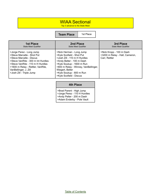#### WIAA Sectional

Top 3 advance to the State Meet

**Team Place** 1st Place

| <b>1st Place</b>                                                                                                                                                                                                                                       | 2nd Place                                                                                                                                                                                                                                                         | 3rd Place                                                                   |
|--------------------------------------------------------------------------------------------------------------------------------------------------------------------------------------------------------------------------------------------------------|-------------------------------------------------------------------------------------------------------------------------------------------------------------------------------------------------------------------------------------------------------------------|-----------------------------------------------------------------------------|
| <b>State Meet Qualifier</b>                                                                                                                                                                                                                            | <b>State Meet Qualifier</b>                                                                                                                                                                                                                                       | <b>State Meet Qualifier</b>                                                 |
| >Jorge Perez - Long Jump<br>>Steve Marcelle - Shot Put<br>>Steve Marcelle - Discus<br>>Steve VanRite - 300 m Int Hurdles<br>>Steve VanRite - 110 m H Hurdles<br>>1600 m Relay - Rettler, VanRite,<br>VanBellinger, J. Zill<br>>Josh Zill - Triple Jump | >Nick Herman - Long Jump<br>>Kyle Scofield - Shot Put<br>>Josh Zill - 110 m H Hurdles<br>>Andy Belter - 100 m Dash<br>>Kyle Soukup - 1600 m Run<br>>800 m Relay - Winney, VanBellinger,<br>Wiegert, Belter<br>>Kyle Soukup - 800 m Run<br>>Kyle Scofield - Discus | >Nick Kropp - 100 m Dash<br>>3200 m Relay - Hall, Cameron,<br>Carr, Rettler |

#### **4th Place**

>Brad Parent - High Jump >Jorge Perez - 110 H Hurdles >Andy Pelter - 200 m Dash >Adam Enderby - Pole Vault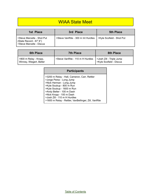#### WIAA State Meet

| 1st Place                                                                       | 3rd Place                          | <b>5th Place</b>          |
|---------------------------------------------------------------------------------|------------------------------------|---------------------------|
| Steve Marcelle - Shot Put<br>(State Record - 67' 6")<br>Steve Marcelle - Discus | >Steve VanRite - 300 m Int Hurdles | SKyle Scofield - Shot Put |

| <b>6th Place</b>                                 | <b>7th Place</b>                 | 8th Place                                            |
|--------------------------------------------------|----------------------------------|------------------------------------------------------|
| S800 m Relay - Kropp,<br>Winney, Wiegert, Belter | >Steve VanRite - 110 m H Hurdles | Solosh Zill - Triple Jump<br>>Kyle Scofield - Discus |

| <b>Participants</b>                                                                                                                                                                                                    |
|------------------------------------------------------------------------------------------------------------------------------------------------------------------------------------------------------------------------|
| >3200 m Relay - Hall, Cameron, Carr, Rettler<br>>Jorge Perez - Long Jump<br>>Nick Herman - Long Jump<br>>Kyle Soukup - 800 m Run<br>>Kyle Soukup - 1600 m Run<br>>Andy Belter - 100 m Dash<br>>Nick Kropp - 100 m Dash |
| >Josh Zill - 110 m H Hurdles<br>>1600 m Relay - Rettler, VanBellinger, Zill, VanRite                                                                                                                                   |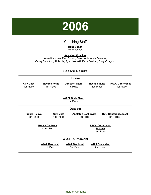

#### Coaching Staff

#### **Head Coach** Pat Prochnow

#### **Assistant Coaches**

<span id="page-16-0"></span>Kevin Kirchman, Paul Donart, Dave Loritz, Andy Fameree, Casey Bins, Andy Bobholz, Ryan Losinski, Dave Seebart, Craig Congdon

| <b>Season Results</b>                                                                                                                                      |                                      |                                   |                                   |                                     |  |  |
|------------------------------------------------------------------------------------------------------------------------------------------------------------|--------------------------------------|-----------------------------------|-----------------------------------|-------------------------------------|--|--|
|                                                                                                                                                            |                                      | <b>Indoor</b>                     |                                   |                                     |  |  |
| <b>City Meet</b><br>1st Place                                                                                                                              | <b>Stevens Point</b><br>1st Place    | <b>Oshkosh Titan</b><br>1st Place | <b>Neenah Invite</b><br>1st Place | <b>FRVC Conference</b><br>1st Place |  |  |
|                                                                                                                                                            | <b>W/TFA State Meet</b><br>1st Place |                                   |                                   |                                     |  |  |
|                                                                                                                                                            |                                      | <b>Outdoor</b>                    |                                   |                                     |  |  |
| <b>Preble Relays</b><br><b>Appleton East Invite</b><br><b>FRCC Conference Meet</b><br><b>City Meet</b><br>1st Place<br>1st Place<br>1st Place<br>1st Place |                                      |                                   |                                   |                                     |  |  |
| <b>Brown Co. Meet</b><br><b>FRCC Conference</b><br>Cancelled<br><b>Relayst</b><br>1st Place                                                                |                                      |                                   |                                   |                                     |  |  |
| <b>WIAA Tournament</b>                                                                                                                                     |                                      |                                   |                                   |                                     |  |  |
| <b>WIAA Sectional</b><br><b>WIAA Regional</b><br><b>WIAA State Meet</b><br>1st Place<br>1st Place<br>2nd Place                                             |                                      |                                   |                                   |                                     |  |  |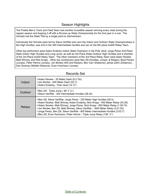#### Season Highlights

The Preble Men's Track and Field Team had another incredible season winning every meet during the regular season and topping it off with a Runner-up State Championship for the 2nd year in a row. The Hornets lost the State Title by a single point to Germantown.

Individually the Hornets were led by Steve VanRite who won the Indoor and Outdoor State Championships in the High Hurdles, was 2nd in the 300 Intermediate Hurdles and ran on the 6th place 4x400 Relay Team.

Other top performers were Adam Enderby Indoor State Champion in the Pole Vault, Jorge Perez 2nd Place State Indoor High Hurdles and Long Jump, as well as 3rd Place State Outdoor High Hurdles and a member of the 3rd Place 4x200 Relay Team. The other members of the 3rd Place Relay Team were Adam Nooker, Matt Winney, and Nick Kropp. Other top contributors were Ben Zill (Hurdles, Jumps, & Relays), Brad Parent (Jumps), Peter Herms (Jumps), Jon Borlee (400 and Relays), Ben Carr (Distance), james Zahn (Distance), Dan Downey (Middle Distance), Evan Hutchison (Jumps)

#### Records Set

| Indoor  | >Adam Nooker - 55 Meter Dash (6.5 Tie)<br>>Jon Borlee - 400 Meter Dash (52.7)<br>>Adam Enderby - Pole Vault (14' 0")                                                                                                                                                                                                                                                                                                                                                                    |
|---------|-----------------------------------------------------------------------------------------------------------------------------------------------------------------------------------------------------------------------------------------------------------------------------------------------------------------------------------------------------------------------------------------------------------------------------------------------------------------------------------------|
| Outdoor | >Ben Zill - Triple Jump (46' 2 $\frac{1}{2}$ ")<br>>Steve VanRite - 300 Intermediate Hurdles (38.32)                                                                                                                                                                                                                                                                                                                                                                                    |
| Relays  | >Ben Zill, Steve VanRite, Jorge Perez - 330 Meter High Hurdles (55.4)<br>>Adam Nooker, Matt Winney, Adam Enderby, Nick Kropp - 400 Meter Relay (43.26)<br>>Adam Nooker, Matt Winney, Jorge Perez, Nick Kropp - 800 Meter Relay (1:29.74)<br>>Jon Borlee, Ben Zill, Matt Winney, Steve VanRite - 1600 Meter Relay (3:21.93)<br>>Jorge Perez, Ben Zill, Steve VanRite - 900 Meter Intermediate Hurdles (2:02.7)<br>>Ben Zill, Evan Hutchison, Peter Herms - Triple Jump Relay (126' 1/2") |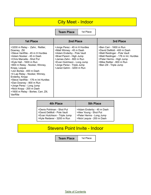#### City Meet - Indoor

**Team Place** | 1st Place

| <b>1st Place</b>                                                                                                                                                                                                                                                                                                                                                                                                                                                                     | 2nd Place                                                                                                                                                                                                                               | 3rd Place                                                                                                                                                                                                        |
|--------------------------------------------------------------------------------------------------------------------------------------------------------------------------------------------------------------------------------------------------------------------------------------------------------------------------------------------------------------------------------------------------------------------------------------------------------------------------------------|-----------------------------------------------------------------------------------------------------------------------------------------------------------------------------------------------------------------------------------------|------------------------------------------------------------------------------------------------------------------------------------------------------------------------------------------------------------------|
| >3200 m Relay - Zahn, Rettler,<br>Downey, Zill<br>>Steve VanRite - 45 m H Hurdles<br>>Adam Nooker - 45 m Dash<br>>Chris Marcelle - Shot Put<br>>Kyle Hall - 1600 m Run<br>>800 m Relay - Nooker, Winney,<br>Kropp, Lequia<br>>Jon Borlee - 400 m Dash<br>>4 Lap Relay - Nooker, Winney,<br>Enderby, Kropp<br>>Steve VanRite - 176 m Int Hurdles<br>>Dan Downey - 800 m Run<br>>Jorge Perez - Long Jump<br>>Nick Kropp - 200 m Dash<br>>1600 m Relay - Borlee, Carr, Zill,<br>VanRite | >Jorge Perez - 45 m H Hurdles<br>>Matt Winney - 45 m Dash<br>>Adam Enderby - Pole Vault<br>>Brad Parent - High Jump<br>>James Zahn - 800 m Run<br>>Evan Hutchison - Long Jump<br>>Jorge Perez - Triple Jump<br>>Jared Gehm - 3200 m Run | >Ben Carr - 1600 m Run<br>>David DeMott - 400 m Dash<br>>Matt Reidinger - Pole Vault<br>>Matt Reidinger - 176 m Int. Hurdles<br>>Peter Herms - High Jump<br>>Mike Rettler - 800 m Run<br>>Ben Zill - Triple Jump |

| 4th Place                     | <b>5th Place</b>          |
|-------------------------------|---------------------------|
| >Denis Pohlman - Shot Put     | >Adam Enderby - 45 m Dash |
| >David DeMott - Pole Vault    | >Alex Young - Shot Put    |
| >Evan Hutchison - Triple Jump | >Peter Herms - Long Jump  |
| >Kyle Reiderer - 3200 m Run   | >Nick Lequia - 200 m Dash |

#### Stevens Point Invite - Indoor

**Team Place** | 1st Place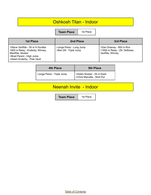#### Oshkosh Titan - Indoor

**Team Place** | 1st Place

| 1st Place                                                                                                                                       | 2nd Place                                           | 3rd Place                                                                     |
|-------------------------------------------------------------------------------------------------------------------------------------------------|-----------------------------------------------------|-------------------------------------------------------------------------------|
| >Steve VanRite - 55 m H Hurdles<br>>800 m Relay - Enderby, Winney,<br>ManRite, Nooker<br>>Brad Parent - High Jump<br>>Adam Enderby - Pole Vault | >Jorge Perez - Long Jump<br>>Ben Zill - Triple Jump | >Dan Downey - 800 m Run<br>>1600 m Relay - Zill, Delfosse,<br>VanRite, Winney |

| <b>4th Place</b>           | <b>5th Place</b>                                       |
|----------------------------|--------------------------------------------------------|
| >Jorge Perez - Triple Jump | >Adam Nooker - 55 m Dash<br>>Chris Marcelle - Shot Put |

## Neenah Invite - Indoor

**Team Place** 1st Place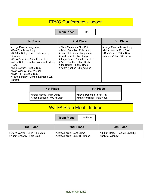## FRVC Conference - Indoor

**Team Place** 1st

| <b>1st Place</b>                                                                                                                                                                                                                                                                                                                    | 2nd Place                                                                                                                                                                                                                                 | 3rd Place                                                                                                  |
|-------------------------------------------------------------------------------------------------------------------------------------------------------------------------------------------------------------------------------------------------------------------------------------------------------------------------------------|-------------------------------------------------------------------------------------------------------------------------------------------------------------------------------------------------------------------------------------------|------------------------------------------------------------------------------------------------------------|
| >Jorge Perez - Long Jump<br>>Ben Zill - Triple Jump<br>>3200 m Relay - Zahn, Green, Zill,<br>Downey<br>>Steve VanRite - 55 m H Hurdles<br>>4 Lap Relay - Nooker, Winney, Enderby,<br>Kropp<br>>Dan Downey - 800 m Run<br>>Matt Winney - 200 m Dash<br>>Kyle Hall - 3200 m Run<br>>1600 m Relay - Borlee, Delfosse, Zill,<br>VanRite | >Chris Marcelle - Shot Put<br>>Adam Enderby - Pole Vault<br>>Evan Hutchison - Long Jump<br>>Brad Parent - High Jump<br>>Jorge Perez - 55 m H Hurdles<br>>Adam Nooker - 55 m Dash<br>>Jon Borlee - 400 m Dash<br>>Adam Nooker - 200 m Dash | >Jorge Perez - Triple Jump<br>>Nick Kropp - 55 m Dash<br>>Ben Carr - 1600 m Run<br>>James Zahn - 800 m Run |

| <b>4th Place</b>            | <b>5th Place</b>             |
|-----------------------------|------------------------------|
| >Peter Herms - High Jump    | >David Pohlman - Shot Put    |
| >Josh Delfosse - 400 m Dash | >Matt Reidinger - Pole Vault |

### W/TFA State Meet - Indoor

**Team Place** | 1st Place

| 1st Place                       | 2nd Place                     | 4th Place                       |
|---------------------------------|-------------------------------|---------------------------------|
| >Steve Vanrite - 55 m H Hurdles | >Jorge Perez - Long Jump      | >800 m Relay - Nooker, Enderby, |
| >Adam Enderby - Pole Vault      | >Jorge Perez - 55 m H Hurdles | VanRite, Winney                 |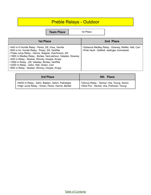## Preble Relays - Outdoor

|                                                                                                                                                                                                                                                                                                                                                                                                                           | <b>Team Place</b> | 1st Place |                                                                                                    |
|---------------------------------------------------------------------------------------------------------------------------------------------------------------------------------------------------------------------------------------------------------------------------------------------------------------------------------------------------------------------------------------------------------------------------|-------------------|-----------|----------------------------------------------------------------------------------------------------|
| <b>1st Place</b>                                                                                                                                                                                                                                                                                                                                                                                                          |                   |           | 2nd Place                                                                                          |
| >440 m H Hurdle Relay - Perez, Zill, Voss, Vanrite<br>>900 m Int. Hurdle Relay - Perez, Zill, VanRite<br>>Triple Jump Relay - Herms, Wagner, Hutchinson, Zill<br>>1600 m Medley Relay - Borlee, VanLieshout, Valadez, Downey<br>>400 m Relay - Nooker, Winney, Hoople, Kropp<br>>1600 m Relay - Zill, Valadez, Borlee, VanRite<br>>3200 m Relay - Zahn, Hall, Green, Carr<br>>800 m Relay - Nooker, Winney, Hoople, Kropp |                   |           | >Distance Medley Relay - Downey, Rettler, Hall, Carr<br>>Pole Vault - DeMott, reidinger, Komisarek |

| 3rd Place                                       | 5th Place                                   |
|-------------------------------------------------|---------------------------------------------|
| >6400 m Relay - Zahn, Baeten, Gehm, Pathakjee   | >Discus Relay - Taicher, riha, Young, Simon |
| >High Jump Relay - Green, Perez, Herms, Bartlet | >Shot Put - Taicher, riha, Pohlman, Young   |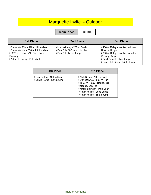## Marquette Invite - Outdoor

**Team Place** | 1st Place

| 1st Place                                                                                                                                            | 2nd Place                                                                             | 3rd Place                                                                                                                                                        |
|------------------------------------------------------------------------------------------------------------------------------------------------------|---------------------------------------------------------------------------------------|------------------------------------------------------------------------------------------------------------------------------------------------------------------|
| >Steve VanRite - 110 m H Hurdles<br>>Steve Vanrite - 300 m Int. Hurdles<br>>3200 m Relay - Zill, Carr, Zahn,<br>Downey<br>>Adam Enderby - Pole Vault | >Matt Winney - 200 m Dash<br>>Ben Zill - 300 m Int Hurdles<br>>Ben Zill - Triple Jump | >400 m Relay - Nooker, Winney,<br>Hoople, Kropp<br>>800 m Relay - Nooker, Valadez,<br>Winney, Kropp<br>>Brad Parent - High Jump<br>>Evan Hutchison - Triple Jump |

| 4th Place                                            | <b>5th Place</b>                                                                                                                                                                                   |
|------------------------------------------------------|----------------------------------------------------------------------------------------------------------------------------------------------------------------------------------------------------|
| >Jon Borlee - 400 m Dash<br>>Jorge Perez - Long Jump | >Nick Kropp - 100 m Dash<br>>Dan Downey - 800 m Run<br>>1600 m Relay - Borlee, Zill,<br>Valadez, VanRite<br>>Matt Reidinger - Pole Vault<br>>Peter Herms - Long Jump<br>>Peter Herms - Triple Jump |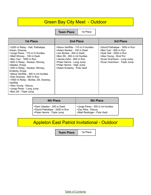#### Green Bay City Meet - Outdoor

**Team Place** 1st Place

| <b>1st Place</b>                                                                                                                                                                                                                                                                                                                                                                                                                                       | 2nd Place                                                                                                                                                                                                                                   | 3rd Place                                                                                                                                                                   |
|--------------------------------------------------------------------------------------------------------------------------------------------------------------------------------------------------------------------------------------------------------------------------------------------------------------------------------------------------------------------------------------------------------------------------------------------------------|---------------------------------------------------------------------------------------------------------------------------------------------------------------------------------------------------------------------------------------------|-----------------------------------------------------------------------------------------------------------------------------------------------------------------------------|
| >3200 m Relay - Hall, Pathakjee,<br>Green, Downey<br>>Jorge Perez - 110 m H Hurdles<br>>Matt Winney - 100 m Dash<br>>Ben Carr - 1600 m Run<br>>800 m Relay - Nooker, Winney,<br>Valadez, Kropp<br>>400 m Relay - Nooker, Winney,<br>Enderby, Kropp<br>>Steve VanRite - 300 m Int Hurdles<br>>Dan Downey - 800 m Run<br>>1600 m Relay - Borlee, Zill, Downey,<br>VanRite<br>>Alex Young - Discus<br>>Jorge Perez - Long Jump<br>>Ben Zill - Triple Jump | >Steve VanRite - 110 m H Hurdles<br>>Adam Nooker - 100 m Dash<br>>Jon Borlee - 400 m Dash<br>>Ben Zill - 300 m Int Hurdles<br>>James Zahn - 800 m Run<br>>Peter Herms - Long Jump<br>>Peter Herms - High Jump<br>>Adam Enderby - Pole Vault | >David Pathakjee - 1600 m Run<br>>Ben Carr - 800 m Run<br>>Kyle Hall - 3200 m Run<br>>Alex Young - Shot Put<br>>Evan Hutchison - Long Jump<br>>Evan Hutchison - Triple Jump |

| 4th Place                     | <b>5th Place</b>                 |
|-------------------------------|----------------------------------|
| >Sam Valadez - 200 m Dash     | >Jorge Perez - 300 m Int Hurdles |
| >David Pathakjee - 3200 m Run | >Zac Riha - Discus               |
| >Peter Herms - Triple Jump    | >Matt Reidinger - Pole Vault     |

# Appleton East Patriot Invitational - Outdoor

**Team Place** | 1st Place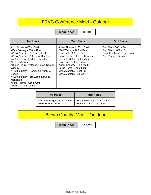#### FRVC Conference Meet - Outdoor

**Team Place** | 1st Place

| <b>1st Place</b>                                                                                                                                                                                                                                                                                                                                                                                         | 2nd Place                                                                                                                                                                                                                                                                                            | 3rd Place                                                                                                |
|----------------------------------------------------------------------------------------------------------------------------------------------------------------------------------------------------------------------------------------------------------------------------------------------------------------------------------------------------------------------------------------------------------|------------------------------------------------------------------------------------------------------------------------------------------------------------------------------------------------------------------------------------------------------------------------------------------------------|----------------------------------------------------------------------------------------------------------|
| >Jon Borlee - 400 m Dash<br>>Dan Downey - 800 m Run<br>>Steve VanRite - 110 m H Hurdles<br>>Steve VanRite - 300 m Int Hurdles<br>>400 m Relay - Enderby, Valadez,<br>Nooker, Winney<br>>800 m Relay - Valadez, Perez, Nooker<br>Winney<br>>1600 m Relay - Perez, Zill, VanRite,<br><b>Borlee</b><br>>3200 m Relay - Zill, Zahn, Downey,<br>McDonald<br>>Peter Herms - Long Jump<br>>Ben Zill - Long Jump | >Adam Nooker - 100 m Dash<br>>Matt Winney - 200 m Dash<br>>Kyle Hall - 3200 m Run<br>>Jorge Perez - 110 m H Hurdles<br>>Ben Zill - 300 m Int Hurdles<br>>Brad Parent - High Jump<br>>Adam Enderby - Pole Vault<br>>Jorge Perez - Long Jump<br>>Chris Marcelle - Shot Put<br>>Chris Marcelle - Discus | >Ben Carr - 800 m Run<br>>Ben Carr - 1600 m Run<br>>Evan Hutchison - Triple Jump<br>>Alex Young - Discus |

| 4th Place                                                 | <b>5th Place</b>                                          |
|-----------------------------------------------------------|-----------------------------------------------------------|
| >David Pathakjee - 3200 m Run<br>>Peter Herms - High Jump | >Evan Hutchison - Long Jump<br>>Peter Herms - Triple Jump |

## Brown County Meet - Outdoor

**Team Place** Cancelled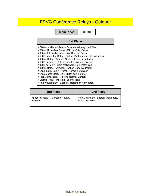## FRVC Conference Relays - Outdoor

**Team Place** | 1st Place

| <b>1st Place</b>                                                                                                                                                                                                                                                                                                                                                                                                                                                                                                                                                                                                                                                      |  |
|-----------------------------------------------------------------------------------------------------------------------------------------------------------------------------------------------------------------------------------------------------------------------------------------------------------------------------------------------------------------------------------------------------------------------------------------------------------------------------------------------------------------------------------------------------------------------------------------------------------------------------------------------------------------------|--|
| >Distance Medley Relay - Downey, Winney, Hall, Carr<br>>330 m H Hurdles Relay - Zill, VanRite, Perez<br>>900 m Int Hurdle Relay - VanRite, Zill, Voss<br>>1600 m Medley Relay - Borlee, VanLieshout, Hoople, Zahn<br>>400 m Relay - Winney, Nooker, Enderby, Valadez<br>>1600 m Relay - Rettler, Hoople, Downey, Borlee<br>>3200 m Relay - Carr, McDonald, Hall, Pathakjee<br>>800 m Relay - Valadez, Nooker, Enderby, Perez<br>>Long Jump Relay - Perez, Herms, Hutchison<br>>Triple Jump Relay - Zill, Hutchison, Herms<br>>High Jump Relay - Parent, Herms, Bartlett<br>>Discus Relay - Marcelle, Young, Riha<br>>Pole Vault Relay - Enderby, Reidinger, Komisarek |  |

| 2nd Place                          | 3rd Place                         |
|------------------------------------|-----------------------------------|
| >Shot Put Relay - Marcelle, Young, | >6400 m Relay - Baeten, McDonald, |
| Pohlman                            | Pathakjee, Gehm                   |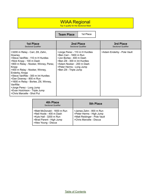#### WIAA Regional

Top 4 qualify for the Sectional Meet

**Team Place** 1st Place

| <b>1st Place</b>                                                                                                                                                                                                                                                                                                                                                                                                                  | 2nd Place                                                                                                                                                                                                 | 3rd Place                  |
|-----------------------------------------------------------------------------------------------------------------------------------------------------------------------------------------------------------------------------------------------------------------------------------------------------------------------------------------------------------------------------------------------------------------------------------|-----------------------------------------------------------------------------------------------------------------------------------------------------------------------------------------------------------|----------------------------|
| <b>Sectional Qualifier</b>                                                                                                                                                                                                                                                                                                                                                                                                        | <b>Sectional Qualifier</b>                                                                                                                                                                                | <b>Sectional Qualifier</b> |
| >3200 m Relay - Carr, Zill, Zahn,<br>Downey<br>>Steve VanRite - 110 m H Hurdles<br>>Nick Kropp - 100 m Dash<br>>800 m Relay - Nooker, Winney, Perez,<br>Kropp<br>>400 m Relay - Nooker, Winney,<br>Enderby, Kropp<br>>Steve VanRite - 300 m Int Hurdles<br>>Dan Downey - 800 m Run<br>>1600 m Relay - Borlee, Zill, Winney,<br>VanRite<br>>Jorge Perez - Long Jump<br>>Evan Hutchison - Triple Jump<br>>Chris Marcelle - Shot Put | >Jorge Perez - 110 m H Hurdles<br>>Ben Carr - 1600 m Run<br>>Jon Borlee - 400 m Dash<br>>Ben Zill - 300 m Int Hurdles<br>>Adam Nooker - 200 m Dash<br>>Peter Herms - Long Jump<br>>Ben Zill - Triple Jump | >Adam Enderby - Pole Vault |

| 4th Place<br><b>Sectional Qualifier</b>                                                                                                | <b>5th Place</b>                                                                                                |
|----------------------------------------------------------------------------------------------------------------------------------------|-----------------------------------------------------------------------------------------------------------------|
| >Matt McDonald - 1600 m Run<br>>Neil Hoole - 400 m Dash<br>>Kyle Hall - 3200 m Run<br>>Brad Parent - High Jump<br>>Alex Young - Discus | >James Zahn - 800 m Run<br>>Peter Herms - High Jump<br>>Matt Reidinger - Pole Vault<br>>Chris Marcelle - Discus |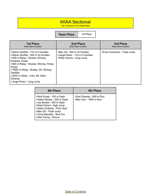#### WIAA Sectional

Top 3 advance to the State Meet

**Team Place** 1st Place

| <b>1st Place</b>                                                                                                                                                                                                                                                                                             | 2nd Place                                                                                   | 3rd Place                     |
|--------------------------------------------------------------------------------------------------------------------------------------------------------------------------------------------------------------------------------------------------------------------------------------------------------------|---------------------------------------------------------------------------------------------|-------------------------------|
| <b>State Meet Qualifier</b>                                                                                                                                                                                                                                                                                  | <b>State Meet Qualifier</b>                                                                 | <b>State Meet Qualifier</b>   |
| >Steve VanRite - 110 m H Hurdles<br>>Steve VanRite - 300 m Int Hurdles<br>>400 m Relay - Nooker, Winney,<br>Enderby, Kropp<br>>800 m Relay - Nooker, Winney, Perez,<br>Kropp<br>>160i0 m Relay - Borlee, Zill, Winney,<br>VanRite<br>>3200 m Relay - Carr, Zill, Zahn,<br>Downey<br>>Jorge Perez - Long Jump | >Ben Zill - 300 m Int Hurdles<br>>Jorge Perez - 110 m H Hurdles<br>>Peter Herms - Long Jump | >Evan Hutchison - Triple Jump |

| 4th Place                                                                                                                                                                                                                    | <b>5th Place</b>                                  |
|------------------------------------------------------------------------------------------------------------------------------------------------------------------------------------------------------------------------------|---------------------------------------------------|
| >Nick Kropp - 100 m Dash<br>>Adam Nooker - 200 m Dash<br>>Jon Borlee - 400 m Dash<br>>Brad Parent - High Jump<br>>Adam Enderby - Pole Vault<br>>Ben Zill - Triple Jump<br>>Chris Marcells - Shot Put<br>>Alex Young - Discus | >Dan Downey - 800 m Run<br>>Ben Carr - 1600 m Run |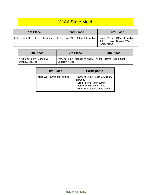### WIAA State Meet

| 1st Place                        | 2nd Place                                                           | 3rd Place                                        |
|----------------------------------|---------------------------------------------------------------------|--------------------------------------------------|
| >Steve VanRite - 110 m H Hurdles | >Steve VanRite - 300 m Int Hurdles   >Jorge Perez - 110 m H Hurdles | ' >800 m Relay - Nooker, Winney,<br>Perez, Kropp |

| <b>6th Place</b>                                   | <b>7th Place</b>                                 | 8th Place               |
|----------------------------------------------------|--------------------------------------------------|-------------------------|
| >1600 m Relay - Borlee, Zill,<br>  Winney, VanRite | >400 m Relay - Nooker, Winney,<br>Enderby, Kropp | Seter Herms - Long Jump |

| <b>9th Place</b>              | <b>Participants</b>                                                                                                                  |
|-------------------------------|--------------------------------------------------------------------------------------------------------------------------------------|
| >Ben Zill - 300 m Int Hurdles | >3200 m Relay - Carr, Zill, Zahn,<br>Downey<br>>Brad Parent - High Jump<br>>Jorge Perez - Long Jump<br>>Evan Hutchison - Triple Jump |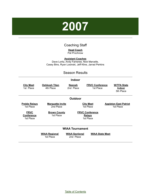# <span id="page-29-0"></span>**2007**

#### Coaching Staff

**Head Coach** Pat Prochnow

**Assistant Coaches**

Dave Loritz, Andy Fameree, Nick Marcelle, Casey Bins, Ryan Losinski, Jeff Kline, Jarrad Perkins

#### Season Results

|                                               |                                      | Indoor                             |                                                      |                                                  |
|-----------------------------------------------|--------------------------------------|------------------------------------|------------------------------------------------------|--------------------------------------------------|
| <b>City Meet</b><br>1st Place                 | <b>Oshkosh Titan</b><br>4th Place    | <b>Neenah</b><br>2nd Place         | <b>FRVC Conference</b><br>1st Place                  | <b>W/TFA State</b><br><b>Indoor</b><br>5th Place |
| Outdoor                                       |                                      |                                    |                                                      |                                                  |
| <b>Preble Relays</b><br>1st Place             | <b>Marquette Invite</b><br>2nd Place |                                    | <b>City Meet</b><br>1st Place                        | <b>Appleton East Patriot</b><br>1st Place        |
| <b>FRVC</b><br><b>Conference</b><br>1st Place | <b>Brown County</b><br>1st Place     |                                    | <b>FRVC Conference</b><br><u>Relays</u><br>1st Place |                                                  |
| <b>WIAA Tournament</b>                        |                                      |                                    |                                                      |                                                  |
|                                               | <b>WIAA Regional</b><br>1st Place    | <b>WIAA Sectional</b><br>2nd Place | <b>WIAA State Meet</b>                               |                                                  |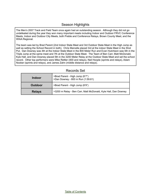#### Season Highlights

The Men's 2007 Track and Field Team once again had an outstanding season. Although they did not go undefeated during the year they won many important meets including Indoor and Outdoor FRVC Conference Meets, Indoor and Outdoor City Meets, both Preble and Conference Relays, Brown County Meet, and the WIAA Regional.

The team was led by Brad Parent (2nd Indoor State Meet and 3rd Outdoor State Meet in the High Jump as well as setting the School Record in both). Chris Marcelle placed 3rd at the indoor State Meet in the Shot Put, Dan Downey was 4th at the Indoor State Meet in the 800 Meter Run and Evan Hutchison was 5th in the Triple Jump at the same meet and 7th at the Outdoor State Meet. The Team of Ben Carr, Matt McDonald, Kyle Hall, and Dan Downey placed 5th in the 3200 Meter Relay at the Outdoor State Meet and set the school record. Other top performers were Mike Rettler (400 and relays), Neil Hoople (sprints and relays), Adam Nooker (sprints and relays), and James Zahn (middle distance and relays).

| <b>Indoor</b>  | >Brad Parent - High Jump (6'7")<br>>Dan Downey - 800 m Run (1:59.61) |
|----------------|----------------------------------------------------------------------|
| <b>Outdoor</b> | >Brad Parent - High Jump (6'9")                                      |
| <b>Relays</b>  | >3200 m Relay - Ben Carr, Matt McDonald, Kyle Hall, Dan Downey       |

#### Records Set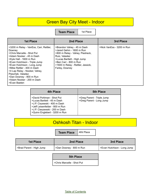#### Green Bay City Meet - Indoor

**Team Place** | 1st Place

| <b>1st Place</b>                                                                                                                                                                                                                                                                                                                                                  | 2nd Place                                                                                                                                                                                                                 | 3rd Place                 |
|-------------------------------------------------------------------------------------------------------------------------------------------------------------------------------------------------------------------------------------------------------------------------------------------------------------------------------------------------------------------|---------------------------------------------------------------------------------------------------------------------------------------------------------------------------------------------------------------------------|---------------------------|
| >3200 m Relay - VanEss, Carr, Rettler,<br>Downey<br>>Chris Marcelle - Shot Put<br>>Adam Nooker - 45 m Dash<br>>Kyle Hall - 1600 m Run<br>>Evan Hutchison - Triple Jump<br>>Evan Hutchison - Long Jump<br>>Mike Rettler - 400 m Dash<br>>4 Lap Relay - Nooker, Vahey,<br>Pieschek, Valadez<br>>Dan Downey - 800 m Run<br>>Adam Nooker - 200 m Dash<br>>Evan Baeten | >Brandon Vahey - 45 m Dash<br>>Jared Gehm - 1600 m Run<br>>800 m Relay - Vahey, Piesheck,<br>Ruiz. Valadez<br>>Lucas Bartlett - High Jump<br>>Ben Carr - 800 m Run<br>>1600 m Relay - Rettler, Jessick,<br>Farley, Downey | >Nick VanEss - 3200 m Run |

| 4th Place                                                                                                                                                                                    | <b>5th Place</b>                                       |
|----------------------------------------------------------------------------------------------------------------------------------------------------------------------------------------------|--------------------------------------------------------|
| >David Pohlman - Shot Put<br>>Lucas Bartlett - 45 m Dash<br>>J.P. Ciszewski - 400 m Dash<br>>Jeff Leisenfelder - 800 m Run<br>>J.P. Cieszewski - 200 m Dash<br>>Quinn Englebert - 3200 m Run | >Greg Parent - Triple Jump<br>>Greg Parent - Long Jump |

## Oshkosh Titan - Indoor

**Team Place** 4tht Place

| <b>1st Place</b>         | 2nd Place               | <b>3rd Place</b>            |
|--------------------------|-------------------------|-----------------------------|
| >Brad Parent - High Jump | >Dan Downey - 800 m Run | >Evan Hutchison - Long Jump |

#### **5th Place**

>Chris Marcelle - Shot Put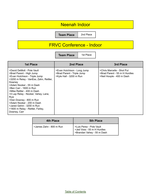#### Neenah Indoor

**Team Place** 2nd Place

## FRVC Conference - Indoor

**Team Place** | 1st Place

| <b>1st Place</b>                                                                                                                                                                                                                                                                                                                                                                                                              | 2nd Place                                                                            | 3rd Place                                                                                |
|-------------------------------------------------------------------------------------------------------------------------------------------------------------------------------------------------------------------------------------------------------------------------------------------------------------------------------------------------------------------------------------------------------------------------------|--------------------------------------------------------------------------------------|------------------------------------------------------------------------------------------|
| >David DeMott - Pole Vault<br>>Brad Parent - High Jump<br>>Evan Hutchison - Triple Jump<br>>3200 m Relay - VanEss, Zahn, Rettler,<br>Downey<br>>Adam Nooker - 55 m Dash<br>>Ben Carr - 1600 m Run<br>>Mike Rettler - 400 m Dash<br>>4 Lap Relay - Nooker, Vahey, Lane,<br><b>Ruiz</b><br>>Dan Downey - 800 m Run<br>>Adam Nooker - 200 m Dash<br>>Jared Gehm - 3200 m Run<br>>1600 m Relay - Rettler, Farley,<br>Downey, Carr | >Evan Hutchison - Long Jump<br>>Brad Parent - Triple Jump<br>>Kyle Hall - 3200 m Run | >Chris Marcelle - Shot Put<br>>Brad Parent - 55 m H Hurdles<br>>Neil Hoople - 400 m Dash |

| 4th Place               | <b>5th Place</b>                                                                         |
|-------------------------|------------------------------------------------------------------------------------------|
| >James Zahn - 800 m Run | >Luis Perez - Pole Vault<br>  >Jed Voss - 55 m H Hurdles<br>  >Brandan Vahey - 55 m Dash |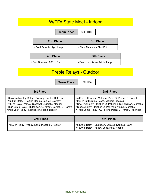| 2nd Place                      | 3rd Place                     |
|--------------------------------|-------------------------------|
| >Brad Parent - High Jump       | >Chris Marcelle - Shot Put    |
| <b>4th Place</b>               | <b>5th Place</b>              |
| >Dan Downey - 800 m Run        | >Evan Hutchison - Triple Jump |
| <b>Preble Relays - Outdoor</b> |                               |

| 1st Place                                                   | 2nd Place                                                   |
|-------------------------------------------------------------|-------------------------------------------------------------|
| >Distance Medley Relay - Downey, Rettler, Hall, Carr        | >440 m H Hurdles - Malcore, Voss, G. Parent, B. Parent      |
| >1600 m Relay - Rettler, Hoople Nooker, Downey              | >900 m Int Hurdles - Voss, Malcore, Jessick                 |
| >400 m Relay - Vahey, Ciszewski, Diercks, Nooker            | >Shot Put Relay - Taicher, D. Pohlman, D. Pohlman, Marcelle |
| >High Jump Relay - Hutchison, G.Parent, Bartlett, B. Parent | >Discus Relay - Taicher, D. Pohlman, Young, Marcelle        |
| >Pole Vault Relay - Komisarek, Perez, DeMott                | >Triple Jump Relay - G. Parent, Perez, B. Parent, Hutchison |

| 3rd Place                                    | 4th Place                                                                                       |
|----------------------------------------------|-------------------------------------------------------------------------------------------------|
| >800 m Relay - Vahey, Lane, Pieschek, Nooker | >6400 m Relay - Englebert, VanEss, Kozloski, Zahn<br>>1600 m Relay - Farley, Voss, Ruiz, Hoople |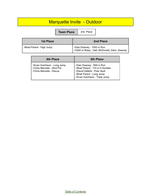## Marquette Invite - Outdoor

**Team Place** 2nd Place

| 1st Place                | 2nd Place                                                                |
|--------------------------|--------------------------------------------------------------------------|
| >Brad Parent - High Jump | >Dan Downey - 1000 m Run<br>>3200 m Relay - Hall, McDonald, Zahn, Downey |
|                          |                                                                          |

| 4th Place                   | <b>5th Place</b>                                          |
|-----------------------------|-----------------------------------------------------------|
| >Evan Hutchison - Long Jump | >Dan Downey - 800 m Run<br>>Brad Parent - 110 m H Hurdles |
| >Chris Marcelle - Shot Put  | >David DeMott - Pole Vault                                |
| >Chris Marcelle - Discus    | >Brad Parent - Long Jump<br>>Evan Hutchison - Triple Jump |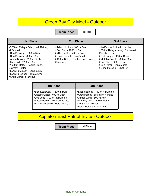#### Green Bay City Meet - Outdoor

**Team Place** | 1st Place

| 1st Place                                                                                                                                                                                                                                                                                                       | 2nd Place                                                                                                                                                           | 3rd Place                                                                                                                                                                                                                         |
|-----------------------------------------------------------------------------------------------------------------------------------------------------------------------------------------------------------------------------------------------------------------------------------------------------------------|---------------------------------------------------------------------------------------------------------------------------------------------------------------------|-----------------------------------------------------------------------------------------------------------------------------------------------------------------------------------------------------------------------------------|
| >3200 m Relay - Zahn, Hall, Rettler,<br>McDonald<br>>Dan Downey - 1600 m Run<br>>Dan Downey - 800 m Run<br>>Adam Nooker - 200 m Dash<br>>Kyle Hall - 3200 m Run<br>>1600 m Relay - Hoople, Zahn,<br>Downey, Rettler<br>>Evan Hutchison - Long Jump<br>>Evan Hurchison - Triple Jump<br>>Chris Marcelle - Discus | >Adam Nooker - 100 m Dash<br>>Ben Carr - 1600 m Run<br>>Mike Rettler - 400 m Dash<br>>David Demott - Pole Vault<br>>400 m Relay - Nooker, Lane, Vahey,<br>Ciszewski | >Jed Voss - 110 m H Hurdles<br>>800 m Relay - Vahey, Ciszewski,<br>Pieschek, Ruiz<br>>Neil Hoople - 400 m Dash<br>>Matt McDonald - 800 m Run<br>>Ben Carr - 3200 m Run<br>>Luis Perez - Triple Jump<br>>Chris Marcelle - Shot Put |

| <b>4th Place</b>                                                                                                                                                      | <b>5th Place</b>                                                                                                                                                                   |
|-----------------------------------------------------------------------------------------------------------------------------------------------------------------------|------------------------------------------------------------------------------------------------------------------------------------------------------------------------------------|
| >Ben Kozlowski - 1600 m Run<br>>Jacob Punzel - 400 m Dash<br>>Jed Voss - 300 m Int Hurdles<br>>Lucas Bartlett - High Jump (tie)<br>>Andy Komisarek - Pole Vault (tie) | >Lucas Bartlett - 110 m H Hurdles<br>>Greg Parent - 300 m Int Hurdles<br>>James Zahn - 800 m Run<br>>Anthony Lane - 200 m Dash<br>>Tony Abts - Discus<br>>David Pohlman - Shot Put |

## Appleton East Patriot Invite - Outdoor

**Team Place** | 1st Place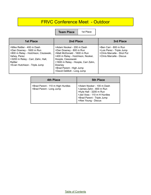#### FRVC Conference Meet - Outdoor

**Team Place** 1st Place

| <b>1st Place</b>                                                                                                                                                                                | 2nd Place                                                                                                                                                                                                                                               | 3rd Place                                                                                                    |
|-------------------------------------------------------------------------------------------------------------------------------------------------------------------------------------------------|---------------------------------------------------------------------------------------------------------------------------------------------------------------------------------------------------------------------------------------------------------|--------------------------------------------------------------------------------------------------------------|
| >Mike Rettler - 400 m Dash<br>>Dan Downey - 1600 m Run<br>>800 m Relay - Hutchison, Ciszewski,<br>Vahey, Perez<br>>3200 m Relay - Carr, Zahn, Hall,<br>Rettler<br>>Evan Hutchison - Triple Jump | >Adam Nooker - 200 m Dash<br>>Dan Downey - 800 m Run<br>>Matt McDonald - 1600 m Run<br>>400 m Relay - Hutchison, Nooker,<br>Hoople, Cieszewski<br>>1600 m Relay - Hoople, Carr Zahn,<br>Downey<br>>Brad Parent - High Jump<br>>David DeMott - Long Jump | >Ben Carr - 800 m Run<br>>Luis Perez - Triple Jump<br>>Chris Marcelle - Shot Put<br>>Chris Marcelle - Discus |

| 4th Place                                                     | <b>5th Place</b>                                                                                                                                                     |
|---------------------------------------------------------------|----------------------------------------------------------------------------------------------------------------------------------------------------------------------|
| >Brad Parent - 110 m High Hurdles<br>>Brad Parent - Long Jump | >Adam Nooker - 100 m Dash<br>>James Zahn - 800 m Run<br>>Kyle Hall - 3200 m Run<br>>Jed Voss - 110 m H Hurdles<br>>Brad Parent - Triple Jump<br>>Alex Young - Discus |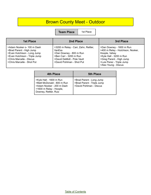## Brown County Meet - Outdoor

**Team Place** | 1st Place

| <b>1st Place</b>                                                                                                                                                                 | 2nd Place                                                                                                                                                             | 3rd Place                                                                                                                                                                                  |
|----------------------------------------------------------------------------------------------------------------------------------------------------------------------------------|-----------------------------------------------------------------------------------------------------------------------------------------------------------------------|--------------------------------------------------------------------------------------------------------------------------------------------------------------------------------------------|
| >Adam Nooker o- 100 m Dash<br>>Brad Parent - High Jump<br>>Evan Hutchison - Long Jump<br>>Evan Hutchison - Triple Jump<br>>Chris Marcelle - Discus<br>>Chris Marcelle - Shot Put | >3200 m Relay - Carr, Zahn, Rettler,<br><b>VanEss</b><br>>Dan Downey - 800 m Run<br>>Ben Carr - 3200 m Run<br>>David DeMott - Pole Vault<br>>David Pohlman - Shot Put | >Dan Downey - 1600 m Run<br>>400 m Relay - Hutchison, Nooker,<br>Hoople, Vahey<br>>Kyle Hall - 3200 m Run<br>>Greg Parent - High Jump<br>>Luis Perez - Triple Jump<br>>Alex Young - Discus |

| <b>4th Place</b>                                                                                                                       | <b>5th Place</b>                                                                  |
|----------------------------------------------------------------------------------------------------------------------------------------|-----------------------------------------------------------------------------------|
| >Kyle Hall - 1600 m Run<br>>Matt McDonald - 800 m Run<br>>Adam Nooker - 200 m Dash<br>>1600 m Relay - Hoople,<br>Downey, Rettler, Ruiz | >Brad Parent - Long Jump<br>>Brad Parent - Triple Jump<br>>David Pohlman - Discus |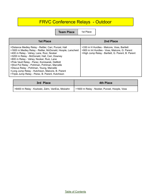## FRVC Conference Relays - Outdoor

**Team Place** | 1st Place

| <b>1st Place</b>                                                                                                                                                                                                                                                                                                                                                                                                                                                                                                | 2nd Place                                                                                                                                        |
|-----------------------------------------------------------------------------------------------------------------------------------------------------------------------------------------------------------------------------------------------------------------------------------------------------------------------------------------------------------------------------------------------------------------------------------------------------------------------------------------------------------------|--------------------------------------------------------------------------------------------------------------------------------------------------|
| >Distance Medley Relay - Rettler, Carr, Punzel, Hall<br>>1600 m Medley Relay - Rettler, McDonald, Hoople, Larscheid<br>>400 m Relay - Vahey, Lane, Ruiz, Nooker<br>>3200 m Relay - McDonald, Hall, Carr, Downey<br>>800 m Relay - Vahey, Nooker, Ruiz, Lane<br>>Pole Vault Relay - Perez, Komisarek, DeMott<br>>Shot Put Relay - Pohlman, Pohlman, Marcelle<br>>Discus Relay - Pohlman, Young, Marcelle<br>>Long Jump Relay - Hutchison, Malcore, B. Parent<br>>Triple Jump Relay - Perez, B. Parent, Hutchison | >330 m H Hurdles - Malcore, Voss, Bartlett<br>>900 m Int Hurdles - Voss, Malcore, G. Parent<br>>High Jump Relay - Bartlett, G. Parent, B. Parent |

| 3rd Place                                       | <b>4th Place</b>                             |
|-------------------------------------------------|----------------------------------------------|
| >6400 m Relay - Kozloski, Zahn, VanEss, Molzahn | >1600 m Relay - Nooker, Punzel, Hoople, Voss |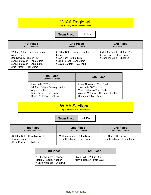#### WIAA Regional

Top 4 qualify for the Sectional Meet

**Team Place** 1st Place

| <b>1st Place</b>                                                                                                                                                       | 2nd Place                                                                                                                      | 3rd Place                                                                            |
|------------------------------------------------------------------------------------------------------------------------------------------------------------------------|--------------------------------------------------------------------------------------------------------------------------------|--------------------------------------------------------------------------------------|
| Sectional Qualifier                                                                                                                                                    | Sectional Qualifier                                                                                                            | <b>Sectional Qualifier</b>                                                           |
| >3200 m Relay - Carr, McDonald,<br>Downey, Zahn<br>>Dan Downey - 800 m Run<br>>Evan Hutchison - Triple Jump<br>>Evan Hutchison - Long Jump<br>>Brad Parent - High Jump | >800 m Relay - Vahey, Hoolpe, Ruiz,<br>Lane<br>>Ben Carr - 800 m Run<br>>Brad Parent - Long Jump<br>>David DeMott - Pole Vault | >Matt McDonald - 800 m Run<br>>Greg Parent - High Jump<br>>Chris Marcelle - Shot Put |

| 4th Place<br><b>Sectional Qualifier</b> | <b>5th Place</b>                    |
|-----------------------------------------|-------------------------------------|
| >Kyle Hall - 3200 m Run                 | >Adam Nooker - 100 m Dash           |
| >1600 m Relay - Downey, Rettler,        | >Kyle Hall - 1600 m Run             |
| Hoople, Nooker                          | >Mike Rettler - 400 m Dash          |
| >Brad Parent - Triple Jump              | >Weston Malcore - 300 m Int Hurdles |
| >David Pohlman - Shot Put               | >Chris Marcelle - Discus            |

## WIAA Sectional

Top 3 advance to the State Meet

|                                                                           | <b>Team Place</b>                                           | 2nd Place                                |                                                      |
|---------------------------------------------------------------------------|-------------------------------------------------------------|------------------------------------------|------------------------------------------------------|
| <b>1st Place</b><br><b>State Meet Qualifier</b>                           |                                                             | 2nd Place<br><b>State Meet Qualifier</b> | 3rd Place<br><b>State Meet Qualifier</b>             |
| >3200 m Relay Carr, McDonald,<br>Downey, Zahn<br>>Brad Parent - High Jump | >Matt McDonald - 800 m Run<br>>Evan Hutchison - Triple Jump |                                          | >Ben Carr - 800 m Run<br>>Evan Hutchison - Long Jump |

| <b>4th Place</b>                                                                 | <b>5th Place</b>                                      |
|----------------------------------------------------------------------------------|-------------------------------------------------------|
| >1600 m Relay - Downey,<br>Rettler, Hoople, Nooker<br>>Chris Marcelle - Shot Put | >Kyle Hall - 3200 m Run<br>>David DeMott - Pole Vault |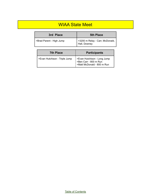#### WIAA State Meet

| 3rd Place                | <b>5th Place</b>                                  |
|--------------------------|---------------------------------------------------|
| >Brad Parent - High Jump | >3200 m Relay - Carr, McDonald,<br>  Hall, Downey |

| <b>7th Place</b>              | <b>Participants</b>                                                                |
|-------------------------------|------------------------------------------------------------------------------------|
| >Evan Hutchison - Triple Jump | >Evan Hutchison - Long Jump<br>>Ben Carr - 800 m Run<br>>Matt McDonald - 800 m Run |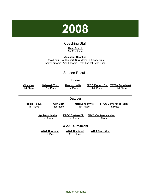

#### Coaching Staff

**Head Coach** Pat Prochnow

<span id="page-41-0"></span>**Assistant Coaches** Dave Loritz, Paul Donart, Nick Marcelle, Casey Bins Andy Fameree, Amy Faneree, Ryan Losinski, Jeff Kline

#### Season Results

|                                   |                                     | Indoor                               |                                          |                                           |
|-----------------------------------|-------------------------------------|--------------------------------------|------------------------------------------|-------------------------------------------|
| <b>City Meet</b><br>1st Place     | Oshkosh Titan<br>2nd Place          | <b>Neenah Invite</b><br>1st Place    | <b>FRCC Eastern Div</b><br>1st Place     | <b>W/TFA State Meet</b><br>1st Place      |
|                                   |                                     | <b>Outdoor</b>                       |                                          |                                           |
| <b>Preble Relays</b><br>1st Place | <b>City Meet</b><br>1st Place       | <b>Marquette Invite</b><br>1st Place |                                          | <b>FRCC Conference Relay</b><br>1st Place |
|                                   | <b>Appleton Invite</b><br>1st Place | <b>FRCC Eastern Div</b><br>1st Place | <b>FRCC Conference Meet</b><br>1st Place |                                           |
|                                   |                                     | <b>WIAA Tournament</b>               |                                          |                                           |
|                                   | <b>WIAA Regional</b><br>1st Place   | <b>WIAA Sectional</b><br>2nd Place   | <b>WIAA State Meet</b>                   |                                           |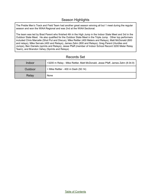#### Season Highlights

The Preble Men's Track and Field Team had another great season winning all but 1 meet during the regular season and won the WIAA Regional and was 2nd at the WIAA Sectional.

The team was led by Brad Parent who finished 4th in the High Jump in the Indoor State Meet and 3rd in the Outdoor State Meet. He also qualified for the Outdoor State Meet in the Triple Jump. Other top performers included Chris Marcelle (Shot Put and Discus), Mike Rettler (400 Meters and Relays), Matt McDonald (800 and relays), Mike Servais (400 and Relays), James Zahn (800 and Relays), Greg Parent (Hurdles and Jumps), Ben Daniels (sprints and Relays), Jesse Pfaff (member of Indoor School Record 3200 Meter Relay Team), and Brandon Vahey (Sprints and Relays)

| Indoor  | >3200 m Relay - Mike Rettler, Matt McDonald, Jesse Pfaff, James Zahn (8:34.9) |
|---------|-------------------------------------------------------------------------------|
| Outdoor | > Mike Rettler - 400 m Dash (50.14)                                           |
| Relay   | None                                                                          |

#### Records Set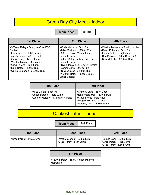#### Green Bay City Meet - Indoor

**Team Place** | 1st Place

| <b>1st Place</b>                                                                                                                                                                                                                                                  | 2nd Place                                                                                                                                                                                                                                                                                                      | 4th Place                                                                                                                                                     |
|-------------------------------------------------------------------------------------------------------------------------------------------------------------------------------------------------------------------------------------------------------------------|----------------------------------------------------------------------------------------------------------------------------------------------------------------------------------------------------------------------------------------------------------------------------------------------------------------|---------------------------------------------------------------------------------------------------------------------------------------------------------------|
| >3200 m Relay - Zahn, VanEss, Pfaff,<br>Rettler<br>>Evan Baeten - 1600 m Run<br>>Jacob Punzel - 400 m Dash<br>>Greg Parent - Triple Jump<br>>Weston Malcore - Long Jump<br>>Greg Parent - High Jump<br>>Mike Rettler - 800 m Run<br>>Quinn Englebert - 3200 m Run | >Chris Marcelle - Shot Put<br>>Mike Graham - 1600 m Run<br>>800 m Relay - Vahey, Lane,<br>Pieshek, Larsen<br>>4 Lap Relay - Vahey, Daniels,<br>Pieshek. Larsen<br>>Ryan Jessick - 176 m Int Hurdles<br>>James Zahn - 800 m Run<br>>Nick VanEss - 3200 m Run<br>>1600 m Relay - Punzel, Boex,<br>Smits, Jessick | >Weston Malcore - 45 m H Hurdles<br>>Denis Pohlman - Shot Put<br>>Lucas Bartlett - High Jump<br>>Ben Daniels - 200 m Dash (tie)<br>>Nick Molzahn - 3200 m Run |

| 4th Place                                                                                       | 5th Place                                                                                                                                       |  |
|-------------------------------------------------------------------------------------------------|-------------------------------------------------------------------------------------------------------------------------------------------------|--|
| >Mike Cullen - Shot Put<br>>Lucas Bartlett - Triple Jump<br>>Weston Malcore - 176 m Int Hurdles | >Anthony Lane - 45 m Dash<br>>lan Mosbrucker - 1600 m Run<br>>Steven Hess - Pole Vault<br>>Greg Boex - 400 m Dash<br>>Anthony Lane - 200 m Dash |  |

#### Oshkosh Titan - Indoor

**Team Place** 2nd Place

| 1st Place                  | 2nd Place                                              | 3rd Place                                                                       |
|----------------------------|--------------------------------------------------------|---------------------------------------------------------------------------------|
| >Brad Parent - Triple Jump | >Matt McDonald - 800 m Run<br>>Brad Parent - High Jump | >James Zahn - 800 m Run<br>>Greg Parent - High Jump<br>>Brad Parent - Long Jump |

#### **5th Place**

>1600 m Relay - Zahn, Rettler, Malcore, McDonald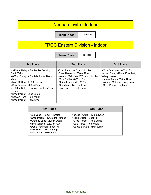#### Neenah Invite - Indoor

**Team Place** | 1st Place

## FRCC Eastern Division - Indoor

**Team Place** | 1st Place

| <b>1st Place</b>                                                                                                                                                                                                                                                                                         | 2nd Place                                                                                                                                                                                                                   | 3rd Place                                                                                                                                                           |
|----------------------------------------------------------------------------------------------------------------------------------------------------------------------------------------------------------------------------------------------------------------------------------------------------------|-----------------------------------------------------------------------------------------------------------------------------------------------------------------------------------------------------------------------------|---------------------------------------------------------------------------------------------------------------------------------------------------------------------|
| >3200 m Relay - Rettler, McDonald,<br>Pfaff, Zahn<br>>800 m Relay o- Daniels, Lane, Bloor,<br>Vahev<br>>Matt McDonald - 800 m Run<br>>Ben Daniels - 200 m Dash<br>>1600 m Relay - Punzel, Rettler, Zahn,<br>Servais<br>>Brad Parent - Long Jump<br>>Steven Hess - Pole Vault<br>>Brad Parent - High Jump | >Brad Parent - 45 m H Hurdles<br>>Evan Baeten - 1600 m Run<br>>Weston Malcore - 176 m Int Hurdles<br>>Mike Rettler - 800 m Run<br>>Quinn Englebert - 3200 m Run<br>>Chris Marcelle - Shot Put<br>>Brad Parent - Triple Jump | >Mike Graham - 1600 m Run<br>>4 Lap Relay - Bloor, Pieschek,<br>Vahey, Larson<br>>James Zahn - 800 m Run<br>>Weston Malcore - Long Jump<br>>Greg Parent - High Jump |

| 4th Place                                                                                                                                                                                                      | <b>5th Place</b>                                                                                                                               |
|----------------------------------------------------------------------------------------------------------------------------------------------------------------------------------------------------------------|------------------------------------------------------------------------------------------------------------------------------------------------|
| >Jed Voss - 45 m H Hurdles<br>>Greg Parent - 176 m Int Hurdles<br>>Anthony Lane - 200 m Dash<br>>Nick VanEss - 3200 m Run<br>>Denis Pohlman - Shot Put<br>>Luis Perez - Triple Jump<br>>Mike Keim - Pole Vault | >Jacob Punzel - 400 m Dash<br>>Mike Cullen - Shot Put<br>>Greg Parent - Triple Jump<br>>Luis Perez - Pole Vault<br>>Lucas Bartlett - High Jump |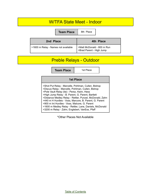#### W/TFA State Meet - Indoor

|                                     | <b>Team Place</b> | 8th Place                                              |           |
|-------------------------------------|-------------------|--------------------------------------------------------|-----------|
| 2nd Place                           |                   |                                                        | 4th Place |
| >1600 m Relay - Names not available |                   | >Matt McDonald - 800 m Run<br>>Brad Parent - High Jump |           |

# Preble Relays - Outdoor

**Team Place** 1st Place

| <b>1st Place</b>                                                                                                                                                                                                                                                                                                                                                                                                                               |
|------------------------------------------------------------------------------------------------------------------------------------------------------------------------------------------------------------------------------------------------------------------------------------------------------------------------------------------------------------------------------------------------------------------------------------------------|
|                                                                                                                                                                                                                                                                                                                                                                                                                                                |
| >Shot Put Relay - Marcelle, Pohlman, Cullen, Bishop<br>>Discus Relay - Marcelle, Pohlman, Cullen, Bishop<br>>Pole Vault Relay (tie) - Perez, Keim, Hess<br>>High Jump Relay - B. Parent, G. Parent, Bartlett<br>>Distance Medley Relay - Rettler, Punzel, McDonald, Zahn<br>>440 m H Hurdles - Voss, Marcore, B. Parent, G. Parent<br>>900 m Int Hurdles - Voss, Malcore, G. Parent<br>>1600 m Medley Relay - Rettler, Lane, Daniels, McDonald |

\*Other Places Not Available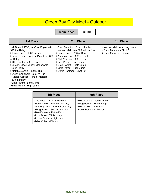## Green Bay City Meet - Outdoor

**Team Place** | 1st Place

| <b>1st Place</b>                                                                                                                                                                                                                                                                                                                                                                                         | 2nd Place                                                                                                                                                                                                                                                                   | 3rd Place                                                                             |
|----------------------------------------------------------------------------------------------------------------------------------------------------------------------------------------------------------------------------------------------------------------------------------------------------------------------------------------------------------------------------------------------------------|-----------------------------------------------------------------------------------------------------------------------------------------------------------------------------------------------------------------------------------------------------------------------------|---------------------------------------------------------------------------------------|
| >McDonald, Pfaff, VanEss, Englebert -<br>3200 m Relay<br>>James Zahn - 1600 m Run<br>>Larson, Lane, Daniels, Pieschek - 800<br>m Relay<br>>Mike Rettler - 400 m Dash<br>>Larson, Bloor, Vahey, Medenwald -<br>400 m Relay<br>>Matt McDonald - 800 m Run<br>>Quinn Englebert - 3200 m Run<br>>Rettler, Servais, Punzel, Malcore -<br>1600 m Relay<br>>Brad Parent - Long Jump<br>>Brad Parent - High Jump | >Brad Parent - 110 m H Hurdles<br>>Weston Malcore - 300 m I Hurdles<br>>James Zahn - 800 m Run<br>>Anthony Lane - 200 m Dash<br>>Nick VanEss - 3200 m Run<br>>Luis Perez - Long Jump<br>>Brad Parent - Triple Jump<br>>Greg Parent - High Jump<br>>Denis Pohlman - Shot Put | >Weston Malcore - Long Jump<br>>Chris Marcelle - Shot Put<br>>Chris Marcelle - Discus |

| 4th Place                                                                                                                                                                                                                                              | <b>5th Place</b>                                                                                               |
|--------------------------------------------------------------------------------------------------------------------------------------------------------------------------------------------------------------------------------------------------------|----------------------------------------------------------------------------------------------------------------|
| >Jed Voss - 110 m H Hurdles<br>>Ben Daniels - 100 m Dash (tie)<br>>Anthony Lane - 100 m Dash (tie)<br>>Greg Parent - 300 m I Hurdles<br>>Ben Daniels - 200 m Dash<br>>Luis Perez - Triple Jump<br>>Lucas Bartlett - High Jump<br>>Mike Cullen - Discus | >Mike Servais - 400 m Dash<br>>Greg Parent - Triple Jump<br>>Mike Cullen - Shot Put<br>>Denis Pohlman - Discus |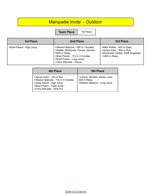## Marquette Invite - Outdoor

**Team Place** | 1st Place

| <b>1st Place</b>         | 2nd Place                                                                                                                                                                            | 3rd Place                                                                                                       |
|--------------------------|--------------------------------------------------------------------------------------------------------------------------------------------------------------------------------------|-----------------------------------------------------------------------------------------------------------------|
| >Brad Parent - High Jump | >Weston Malcore - 300 m I Hurdles<br>>Rettler, McDonald, Punzel, Servais -<br>1600 m Relay<br>>Brad Parent - 110 m H Hurdles<br>>Brad Parent - Long Jump<br>>Chris Marcelle - Discus | >Mike Rettler - 400 m Dash<br>>James Zahn - 800 m Run<br>>McDonald, Rettler, Pfaff, Englebert<br>- 3200 m Relay |

| 4th Place                                                                                                                                            | <b>5th Place</b>                                                              |
|------------------------------------------------------------------------------------------------------------------------------------------------------|-------------------------------------------------------------------------------|
| >James Zahn - 100 m Run<br>>Weston Malcore - 110 m H Hurdles<br>>Greg Parent - High Jump<br>>Brad Parent - Triple Jump<br>>Chris Marcelle - Shot Put | >Larson, Daniels, Vahey, Lane -<br>400 m Relay<br>>Weston Malcore - Long Jump |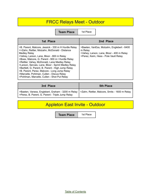### FRCC Relays Meet - Outdoor

**Team Place** | 1st Place

| 1st Place                                                                                                                                                                                                                                                                                                                                                                                                                                                                                                                     | 2nd Place                                                                                                                                   |
|-------------------------------------------------------------------------------------------------------------------------------------------------------------------------------------------------------------------------------------------------------------------------------------------------------------------------------------------------------------------------------------------------------------------------------------------------------------------------------------------------------------------------------|---------------------------------------------------------------------------------------------------------------------------------------------|
| >B. Parent, Malcore, Jessick - 330 m H Hurdle Relay<br>>>Zahn, Rettler, Molzahn, McDonald - Distance<br>Medley Relay<br>>Vahey, Larson, Lane, Bloor - 800 m Relay<br>>Boex, Malcore, G. Parent - 900 m I Hurdle Relay<br>>Rettler, Vahey, McDonald, Lane Medley Relay<br>>Larson, Servais, Lane, Bloor - Sprint Medley Relay<br>>Bartlett, G. Parent, B. Parent - High Jump Relay<br>>B. Parent, Perez, Malcore - Long Jump Relay<br>>Marcelle, Pohlman, Cullen - Discus Relay<br>>Pohlman, Marcelle, Cullen - Shot Put Relay | >Baeten, VanEss, Molzahn, Englebert - 6400<br>m Relay<br>>Vahey, Larson, Lane, Bloor - 400 m Relay<br>>Perez, Keim, Hess - Pole Vault Relay |

| 3rd Place                                                                                                                                               | <b>5th Place</b> |
|---------------------------------------------------------------------------------------------------------------------------------------------------------|------------------|
| SBaeten, Vaness, Englebert, Graham - 3200 m Relay   >Zahn, Rettler, Malcore, Smits - 1600 m Relay  <br>>Perez, B. Parent, G. Parent - Triple Jump Relay |                  |

## Appleton East Invite - Outdoor

**Team Place** | 1st Place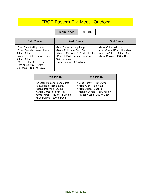#### FRCC Eastern Div. Meet - Outdoor

**Team Place** | 1st Place

| 1st Place                                                                                                                                                                                                          | 2nd Place                                                                                                                                                                 | 3rd Place                                                                                                      |
|--------------------------------------------------------------------------------------------------------------------------------------------------------------------------------------------------------------------|---------------------------------------------------------------------------------------------------------------------------------------------------------------------------|----------------------------------------------------------------------------------------------------------------|
| >Brad Parent - High Jump<br>>Bloor, Daniels, Larson, Lane -<br>800 m Relay<br>>Vahey, Daniels, Larson, Lane -<br>500 m Relay<br>>Mike Rettler - 800 m Run<br>>Rettler, Servais, Punzel,<br>McDonald - 1600 m Relay | >Brad Parent - Long Jump<br>>Denis Pohlman - Shot Put<br>>Weston Malcore - 110 m H Hurdles<br>>Punzel, Pfaff, Graham, VanEss -<br>3200 m Relay<br>>James Zahn - 800 m Run | >Mike Cullen - discus<br>>Jed Voss - 110 m H Hurdles<br>>James Zahn - 1600 m Run<br>>Mike Servais - 400 m Dash |

| 4th Place                                                                                                                                                                        | <b>5th Place</b>                                                                                                                            |
|----------------------------------------------------------------------------------------------------------------------------------------------------------------------------------|---------------------------------------------------------------------------------------------------------------------------------------------|
| >Weston Malcore - Long Jump<br>>Luis Perez - Triple Jump<br>>Denis Pohlman - Discus<br>>Chris Marcelle - Shot Put<br>>Brad Parent - 110 m H Hurdles<br>>Ben Daniels - 200 m Dash | >Greg Parent - High JUmp<br>>Mike Keim - Pole Vault<br>>Mike Cullen - Shot Put<br>>Matt McDonald - 1600 m Run<br>>Anthony Lane - 200 m Dash |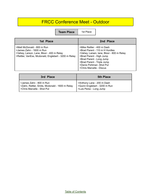#### FRCC Conference Meet - Outdoor

**Team Place** | 1st

| -<br>×<br>۰,<br>۰,<br>ł |  |
|-------------------------|--|
|-------------------------|--|

| 1st Place                                                                                                                                                   | 2nd Place                                                                                                                                                                                                                                               |
|-------------------------------------------------------------------------------------------------------------------------------------------------------------|---------------------------------------------------------------------------------------------------------------------------------------------------------------------------------------------------------------------------------------------------------|
| >Matt McDonald - 800 m Run<br>>James Zahn - 1600 m Run<br>>Vahey, Larson, Lane, Bloor - 400 m Relay<br>>Rettler, VanEss, Mcdonald, Englebert - 3200 m Relay | >Mike Rettler - 400 m Dash<br>>Brad Parent - 110 m H Hurdles<br>>Vahey, Larsen, lane, Bloor - 800 m Relay<br>>Brad Parent - High Jump<br>>Brad Parent - Long Jump<br>>Brad Parent - Triple Jump<br>>Denis Pohlman -Shot Put<br>>Chris Marcelle - Discus |

| 3rd Place                                      | <b>5th Place</b>              |
|------------------------------------------------|-------------------------------|
| >James Zahn - 800 m Run                        | >Anthony Lane - 200 m Dash    |
| >Zahn, Rettler, Smits, Mcdonald - 1600 m Relay | SQuinn Englebert - 3200 m Run |
| >Chris Marcelle - Shot Put                     | >Luis Perez - Long Jump       |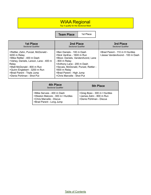#### WIAA Regional

Top 4 qualify for the Sectional Meet

**Team Place** 1st Place

| <b>1st Place</b>                                                                                                                                                                                                                                             | 2nd Place                                                                                                                                                                                                                                                     | 3rd Place                                                         |
|--------------------------------------------------------------------------------------------------------------------------------------------------------------------------------------------------------------------------------------------------------------|---------------------------------------------------------------------------------------------------------------------------------------------------------------------------------------------------------------------------------------------------------------|-------------------------------------------------------------------|
| <b>Sectional Qualifier</b>                                                                                                                                                                                                                                   | Sectional Qualifier                                                                                                                                                                                                                                           | <b>Sectional Qualifier</b>                                        |
| >Rettler, Zahn, Punzel, McDonald -<br>3200 m Relay<br>>Mike Rettler - 400 m Dash<br>>Vahey, Daniels, Larson, Lane - 400 m<br>Relay<br>>Matt McDonald - 800 m Run<br>>Quinn Englebert - 3200 m Run<br>>Brad Parent - Triple Jump<br>>Denis Pohlman - Shot Put | >Ben Daniels - 100 m Dash<br>>Nick VanEss - 1600 m Run<br>>Bloor, Daniels, VandenAvond, Lane<br>- 800 m Relay<br>>Anthony Lane - 200 m Dash<br>>Sevais, McDonald, Punzel, Rettler -<br>1600 m Relay<br>>Brad Parent - High Jump<br>>Chris Marcelle - Shot Put | >Brad Parent - 110 m H Hurdles<br>>Jesse VandenAvond - 100 m Dash |

| <b>4th Place</b><br><b>Sectional Qualifier</b>                                                                          | <b>5th Place</b>                                                                   |
|-------------------------------------------------------------------------------------------------------------------------|------------------------------------------------------------------------------------|
| >Mike Servais - 400 m Dash<br>>Weston Malcore - 300 m I Hurdles<br>>Chris Marcelle - Discus<br>>Brad Parent - Long Jump | >Greg Boex - 300 m I Hurdles<br>>James Zahn - 800 m Run<br>>Denis Pohlman - Discus |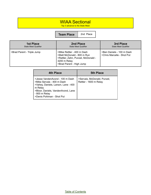#### WIAA Sectional

Top 3 advance to the State Meet

**Team Place** 2nd Place

| <b>1st Place</b>           | 2nd Place                                                                                                                                  | 3rd Place                                               |
|----------------------------|--------------------------------------------------------------------------------------------------------------------------------------------|---------------------------------------------------------|
| State Meet Qualifier       | <b>State Meet Qualifier</b>                                                                                                                | <b>State Meet Qualifier</b>                             |
| >Brad Parent - Triple Jump | >Mike Rettler - 400 m Dash<br>>Matt McDonald - 800 m Run<br>>Rattler, Zahn, Punzel, McDonald -<br>3200 m Relay<br>>Brad Parent - High Jump | >Ben Daniels - 100 m Dash<br>>Chris Marcelle - Shot Put |

| <b>4th Place</b>                                                                                                                                                                                    | <b>5th Place</b>                                      |
|-----------------------------------------------------------------------------------------------------------------------------------------------------------------------------------------------------|-------------------------------------------------------|
| >Jesse VandenAvond - 100 m Dash<br>>Mike Servais - 400 m Dash<br>>Vahey, Daniels, Larson, Lane - 400<br>m Relay<br>>Bloor, Daniels, VandenAvond, Lane<br>- 800 m Relay<br>>Denis Pohlman - Shot Put | >Servais, McDonald, Punzel,<br>Rettler - 1600 m Relay |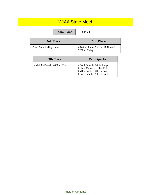#### WIAA State Meet

|                          | <b>Team Place</b> | 8 Points                                           |           |
|--------------------------|-------------------|----------------------------------------------------|-----------|
|                          | 3rd Place         |                                                    | 6th Place |
| >Brad Parent - High Jump |                   | >Rettler, Zahn, Punzel, McDonald -<br>3200 m Relay |           |

| <b>9th Place</b>           | <b>Participants</b>                                                                                                 |
|----------------------------|---------------------------------------------------------------------------------------------------------------------|
| >Matt McDonald - 800 m Run | >Brad Parent - Triple Jump<br>>Chris Marcelle - Shot Put<br>>Mike Rettler - 400 m Dash<br>>Ben Daniels - 100 m Dash |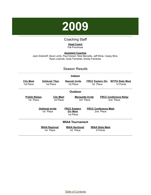

#### Coaching Staff

#### **Head Coach** Pat Prochnow

<span id="page-54-0"></span>**Assistant Coaches** Jack Drankoff, Dave Loritz, Paul Donart, Nick Marcelle, Jeff Kline, Casey Bins, Ryan Losinski, Andy Fameree, Amiee Fameree

#### Season Results

#### **Indoor City Meet** 1st Place **Oshkosh Titan** 1st Place **Neenah Invite** 1st Place **FRCC Eastern Div W/TFA State Meet** 1st Place 12 Points **Outdoor Preble Relays** 1st Place **City Meet** 1st Place **Marquette Invite** 3rd Place **FRCC Conference Relay** 2nd Place **Oshkosh Invite** 1st Place **FRCC Eastern Div Meet** 1st Place **FRCC Conference Meet** 2nd Place **WIAA Tournament WIAA Regional** 1st Place **WIAA Sectional** 1st Place **WIAA State Meet** 6 Points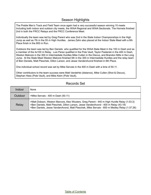#### Season Highlights

The Preble Men's Track and Field Team once again had a very successful season winning 10 meets Including both indoor and outdoor city meets, the WIAA Regional and WIAA Sectionals. The Hornets finished 2nd in both the FRCC Relays and the FRCC Conference Meet.

Individually the team was led by Greg Parent who was 2nd in the State Indoor Championships in the High Jump as well as 7th in the 55 m High Hurdles. James Zahn also placed at the Indoor State Meet with a 6th Place finish in the 800 m Run.

Outdoors the team was led by Ben Daniels who qualified for the WIAA State Meet in the 100 m Dash and as a member of the 4x100 m Relay. Luis Perez qualified in the Pole Vault, Taylor Pasterski in the 400 m Dash, Weston Malcore in the 300 m Intermediate Hurdles Mike Cullen in the Discus, and Brandon Mills in the Long Jump. At the State Meet Weston Malcore finished 5th in the 300 m Intermediate Hurdles and the relay team of Ben Daniels, Matt Pieschek, Dillon Larson, and Jesse VandenAvond finished in 6th Place.

One individual school record was set by Mike Servais in the 400 m Dash with a time of 50.11.

Other contributors to the team success were Matt VandeHei (distance), Mike Cullen (Shot & Discus), Stephan Hess (Pole Vault), and Mike Keim (Pole Vault),

#### Records Set

| Indoor  | <b>None</b>                                                                                                                                                                                                                                                                      |
|---------|----------------------------------------------------------------------------------------------------------------------------------------------------------------------------------------------------------------------------------------------------------------------------------|
| Outdoor | >Mike Servais - 400 m Dash (50.11)                                                                                                                                                                                                                                               |
| Relay   | >Matt Dobson, Weston Marcore, Alex Wouters, Greg Parent - 440 m High Hurdle Relay (1:03.3)<br>>Ben Daniels, Matt Pieschek, Dillon Larson, Jesse VandenAvond - 400 m Relay (43.19)<br>>Ben Daniels, Jesse VandenAvond, Matt Pieschek, Mike Servais - 800 m Medley Relay (1:37.26) |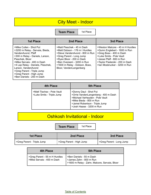#### City Meet - Indoor

**Team Place** | 1st Place

| <b>1st Place</b>                                                                                                                                                                                                                                                                                                        | 2nd Place                                                                                                                                                                                                                                       | 3rd Place                                                                                                                                                                                                              |
|-------------------------------------------------------------------------------------------------------------------------------------------------------------------------------------------------------------------------------------------------------------------------------------------------------------------------|-------------------------------------------------------------------------------------------------------------------------------------------------------------------------------------------------------------------------------------------------|------------------------------------------------------------------------------------------------------------------------------------------------------------------------------------------------------------------------|
| >Mike Cullen - Shot Put<br>>3200 m Relay - Servais, Bieda,<br>VandenAvond, Pfaff<br>>300 m Relay - Daniels, Larson,<br>Pieschek, Bloor<br>>Mike Servais - 400 m Dash<br>>4 Lap Relay - Daniels, Pieschek,<br>Larson, VandenAvond<br>>Greg Parent - Triple Jump<br>>Greg Parent - High Jump<br>>Ben Daniels - 200 m Dash | >Matt Pieschek - 45 m Dash<br>>Matt Dobson - 176 m I Hurdles<br>>Steve VandenAvond - 800 m Run<br>>Greg Parent - Long Jump<br>>Ryan Bloor - 200 m Dash<br>>Ben Overeem - 3200 m Run<br>>1600 m Relay - Dobson, Boex,<br>Bloor, VandenLangenberg | >Weston Malcore - 45 m H Hurdles<br>>Quinn Englebert - 1600 m Run<br>>Greg Boex - 400 m Dash<br>>Luke Smits - Pole Vault<br>>Jesse Pfaff - 800 m Run<br>>Taylor Pasterski - 200 m Dash<br>>lan Mosbrucker - 3200 m Run |

| 4th Place                                               | <b>5th Place</b>                                                                                                                                                                           |
|---------------------------------------------------------|--------------------------------------------------------------------------------------------------------------------------------------------------------------------------------------------|
| >Matt Tlachac - Pole Vault<br>>Luke Smits - Triple Jump | >Donny Daul - Shot Put<br>>Orrie VandenLangenberg - 400 m Dash<br>>Michael Verheyden - Pole Vault<br>>Mike Bieda - 800 m Run<br>>Jamel Robertson - Triple Jump<br>>Josh Haase - 3200 m Run |

## Oshkosh Invitational - Indoor

**Team Place** 1st Place

| <b>1st Place</b>           | 2nd Place                | <b>3rd Place</b>         |
|----------------------------|--------------------------|--------------------------|
| SGreg Parent - Triple Jump | >Greg Parent - High Jump | SGreg Parent - Long Jump |

| 4th Place                                                   | <b>5th Place</b>                                                                                     |
|-------------------------------------------------------------|------------------------------------------------------------------------------------------------------|
| >Greg Parent - 55 m H Hurdles<br>>Mike Servais - 400 m Dash | >Ben Daniels - 55 m Dash<br>>James Zahn - 800 m Run<br>>1600 m Relay - Zahn, Malcore, Servais, Bloor |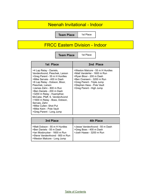#### Neenah Invitational - Indoor

**Team Place** | 1st Place

## FRCC Eastern Division - Indoor

**Team Place** 1st Place

| 1st Place                                                                                                                                                                                                                                                                                                                                                                                                                              | 2nd Place                                                                                                                                                                                                        |
|----------------------------------------------------------------------------------------------------------------------------------------------------------------------------------------------------------------------------------------------------------------------------------------------------------------------------------------------------------------------------------------------------------------------------------------|------------------------------------------------------------------------------------------------------------------------------------------------------------------------------------------------------------------|
| >4 Lap Relay - Daniels,<br>VandenAvond, Pieschek, Larson<br>>Greg Parent - 55 m H Hurdles<br>>Mike Servais - 400 m Dash<br>>6 Lap Relay - Dobson, Bloor,<br>Pieschek, Larson<br>>James Zahn - 800 m Run<br>>Ben Daniels - 200 m Dash<br>>3200 m Relay - Huempfner,<br>McCabe, Pfaff, S. VandenAvond<br>>1600 m Relay - Boex, Dobson,<br>Servais, Zahn<br>>Mike Cullen- Shot Put<br>>Mike Keim - Pole Vault<br>>Greg Parent - Long Jump | >Weston Malcore - 55 m H Hurdles<br>>Matt VandeHei - 1600 m Run<br>>Ryan Bloor - 200 m Dash<br>>Ben Overeem - 3200 m Run<br>>Greg Parent - Triple Jump<br>>Stephen Hess - Pole Vault<br>>Greg Parent - High Jump |

| 3rd Place                                                                                                                                                  | 4th Place                                                                             |
|------------------------------------------------------------------------------------------------------------------------------------------------------------|---------------------------------------------------------------------------------------|
| >Matt Dobson - 55 m H Hurdles<br>>Ben Daniels - 55 m Dash<br>>lan Mosbrucker - 1600 m Run<br>>Steve VandenAvond - 800 m Run<br>>Weston Malcore - Long Jump | >Jesse VandenAvond - 55 m Dash<br>>Greg Boex - 400 m Dash<br>>Josh Haase - 3200 m Run |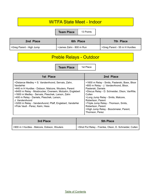#### W/TFA State Meet - Indoor

**Team Place** 13 Points

| 2nd Place                | 6th Place               | 7th Place                     |
|--------------------------|-------------------------|-------------------------------|
| SGreg Parent - High Jump | >James Zahn - 800 m Run | SGreg Parent - 55 m H Hurdles |

# Preble Relays - Outdoor

**Team Place** | 1st Place

| 1st Place                                                                                                                                                                                                                                                                                                                                                                                        | 2nd Place                                                                                                                                                                                                                                                                                                                                                   |
|--------------------------------------------------------------------------------------------------------------------------------------------------------------------------------------------------------------------------------------------------------------------------------------------------------------------------------------------------------------------------------------------------|-------------------------------------------------------------------------------------------------------------------------------------------------------------------------------------------------------------------------------------------------------------------------------------------------------------------------------------------------------------|
| >Distance Medley = S. VandenAvond, Servais, Zahn,<br>VandeHei<br>>440 m H Hurdles - Dobson, Malcore, Wouters, Parent<br>>6400 m Relay - Mosbrucker, Overeem, Molzahn, Englebert<br>>1600 m Medley - Servais, Pieschek, Larson, Zahn<br>>400 m Relay - Daniels, Pieschek, Larson,<br>J. VandenAvond<br>>3200 m Relay - VandenAvond, Pfaff, Englebert, VandeHei<br>>Pole Vault - Perez, Keim, Hess | >1600 m Relay - Smits, Pasterski, Boex, Bloor<br>>800 m Relay - J. VandenAvond, Bloor,<br>Pasterski, Daniels<br>>Discus Relay - D. Schneider, Olson, VanRite,<br>Cullen<br>>Long Jump Relay - Smits, Malcore,<br>Robertson, Parent<br>>Triple Jump Relay - Thomson, Smits,<br>Robertson, Parent<br>>High Jump Relay - Boockmeier, Parent,<br>Thomson, Perez |

| 3rd Place                                   | <b>5th Place</b>                                      |
|---------------------------------------------|-------------------------------------------------------|
| >900 m I Hurdles - Malcore, Dobson, Wouters | >Shot Put Relay - Framke, Olson, D. Schneider, Cullen |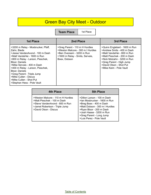## Green Bay City Meet - Outdoor

**Team Place** | 1st Place

| <b>1st Place</b>                                                                                                                                                                                                                                                                                                                                                              | 2nd Place                                                                                                                                           | 3rd Place                                                                                                                                                                                                                                |
|-------------------------------------------------------------------------------------------------------------------------------------------------------------------------------------------------------------------------------------------------------------------------------------------------------------------------------------------------------------------------------|-----------------------------------------------------------------------------------------------------------------------------------------------------|------------------------------------------------------------------------------------------------------------------------------------------------------------------------------------------------------------------------------------------|
| >3200 m Relay - Mosbrucker, Pfaff,<br>Zahn, Bieda<br>>Jesse VandenAvond - 100 m Dash<br>>Matt VandeHei - 1600 m Run<br>>800 m Relay - Larson, Pieschek,<br>Bloor, Daniels<br>>Mike Servais - 400 m Dash<br>>400 m Relay - Larson, Pieschek,<br>Bloor, Daniels<br>>Greg Parent - Triple Jump<br>>Mike Cullen - Discus<br>>Mike Cullen - Shot Put<br>>Stephan Hess - Pole Vault | >Greg Parent - 110 m H Hurdles<br>>Weston Malcore - 300 m I Hurdles<br>>Ben Overeem - 3200 m Run<br>>1600 m Relay - Smits, Servais,<br>Boex, Dobson | >Quinn Englebert - 1600 m Run<br>>Andrew Smits - 400 m Dash<br>>Matt VandeHei - 800 m Run<br>>Matt Pieschek - 200 m Dash<br>>Nick Molzahn - 3200 m Run<br>>Greg Parent - High Jump<br>>David Olson - Shot Put<br>>Mike Keim - Pole Vault |

| 4th Place                                                                                                                                                     | <b>5th Place</b>                                                                                                                                                                                                                         |
|---------------------------------------------------------------------------------------------------------------------------------------------------------------|------------------------------------------------------------------------------------------------------------------------------------------------------------------------------------------------------------------------------------------|
| >Weston Malcore - 110 m H Hurdles<br>>Matt Pieschek - 100 m Dash<br>>Steve VandenAvond - 800 m Run<br>>Jamel Robertson - Triple Jump<br>>David Olson - Discus | >Dillon Larson - 100 m Dash<br>>lan Mosbrucker - 1600 m Run<br>>Breg Boex - 400 m Dash<br>>Matt Dobson - 300 m I Hurdles<br>>Ryan Bloor - 200 m Dash<br>>Josh Haase - 3200 m Run<br>>Greg Parent - Long Jump<br>>Luis Perez - Pole Vault |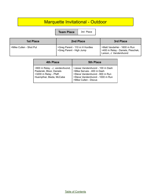## Marquette Invitational - Outdoor

**Team Place** 3rd Place

| 1st Place               | 2nd Place                                                  | 3rd Place                                                                                  |
|-------------------------|------------------------------------------------------------|--------------------------------------------------------------------------------------------|
| >Mike Cullen - Shot Put | >Greg Parent - 110 m H Hurdles<br>>Greg Parent - High Jump | >Matt VandeHei - 1600 m Run<br>>400 m Relay - Daniels, Pieschek,<br>Larson, J. VandenAvond |

| 4th Place                                                                                                         | <b>5th Place</b>                                                                                                                                            |
|-------------------------------------------------------------------------------------------------------------------|-------------------------------------------------------------------------------------------------------------------------------------------------------------|
| >800 m Relay - J. vandenAvond,<br>Pasterski, Bloor, Daniels<br>>3200 m Relay - Pfaff,<br>Huempfner, Bieda, McCabe | >Jesse VandenAvond - 100 m Dash<br>>Mike Servais - 400 m Dash<br>>Steve VandenAvond - 800 m Run<br>>Steve VandenAvond - 1000 m Run<br>>Mike Cullen - Discus |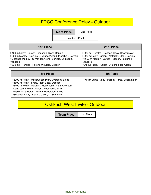## FRCC Conference Relay - Outdoor

**Team Place** 2nd Place

Lost by ½ Point

| 1st Place                                                  | 2nd Place                                        |
|------------------------------------------------------------|--------------------------------------------------|
| >400 m Relay - Larson, Pieschek, Bloor, Daniels            | >900 m I Hurdles - Dobson, Boex, Boochmeier      |
| >800 m Medley - Daniels, J. VandenAvond, Pieschek, Servais | >800 m Relay - Iarson, Pasterski, Bloor, Daniels |
| >Distance Medley - S. VandenAvond, Servais, Englebert,     | >1600 m Medley - Larson, Rascon, Pasterski,      |
| VandeHei                                                   | VandeHei                                         |
| S330 m H Hurdles - Parent, Wouters, Dobson                 | >Discus Relay - Cullen, D. Schneider, Olson      |

| 3rd Place                                                                                                                                                                                                                                                                                               | 4th Place                                    |
|---------------------------------------------------------------------------------------------------------------------------------------------------------------------------------------------------------------------------------------------------------------------------------------------------------|----------------------------------------------|
| >3200 m Relay - Mosbrucker, Pfaff, Overeem, Bieda<br>>1600 m Relay - Smits, Pfaff, Boex, Dobson<br>>6400 m Relay - Molzahn, Mosbrucker, Pfaff, Overeem<br>>Long Jump Relay - Parent, Robertson, Smits<br>>Triple Jump Relay - Parent, Robertson, Smits<br>>Shot Put Relay - Cullen, Olson, D. Schneider | >High Jump Relay - Parent, Perez, Boockmeier |

#### Oshkosh West Invite - Outdoor

**Team Place** 1st Place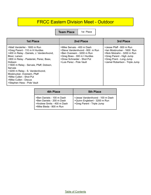#### FRCC Eastern Division Meet - Outdoor

**Team Place** 1st Place

| 1st Place                                                                                                                                                                                                                                                                                                                                                                              | 2nd Place                                                                                                                                                                           | 3rd Place                                                                                                                                                                     |
|----------------------------------------------------------------------------------------------------------------------------------------------------------------------------------------------------------------------------------------------------------------------------------------------------------------------------------------------------------------------------------------|-------------------------------------------------------------------------------------------------------------------------------------------------------------------------------------|-------------------------------------------------------------------------------------------------------------------------------------------------------------------------------|
| >Matt VandeHei - 1600 m Run<br>>Greg Parent - 110 m H Hurdles<br>>400 m Relay - Daniels, J. VandenAvond,<br>Bloor, Larson<br>>800 m Relay - Pasterski, Perez, Boex,<br>Dobson<br>>1600 m Relay - Servais, Pfaff, Dobson,<br>Servais<br>>3200 m Relay - S. VandenAvond,<br>Mosbrucker, Overeem, Pfaff<br>>Mike Cullen - Shot Put<br>>Mike Cullen - Discus<br>>Stephen Hess - Pole Vault | >Mike Servais - 400 m Dash<br>>Steve VandenAvond - 800 m Run<br>>Ben Overeem - 3200 m Run<br>>Greg Boex - 300 m I Hurdles<br>>Drew Schneider - Shot Put<br>>Luis Perez - Pole Vault | >Jesse Pfaff - 800 m Run<br>>lan Mosbrucker - 1600 Run<br>>Nick Molzahn - 3200 m Run<br>>Greg Parent - High Jump<br>>Greg Prent - Long Jump<br>>Jamel Robertson - Triple Jump |

| 4th Place                                                                                                       | <b>5th Place</b>                                                                               |
|-----------------------------------------------------------------------------------------------------------------|------------------------------------------------------------------------------------------------|
| >Ben Daniels - 100 m Dash<br>>Ben Daniels - 200 m Dash<br>>Andrew Smits - 400 m Dash<br>>Mike Bieda - 800 m Run | >Jesse VandenAvond - 100 m Dash<br>>Quinn Englebert - 3200 m Run<br>>Greg Parent - Triple Jump |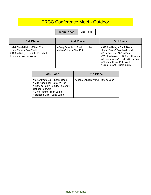#### FRCC Conference Meet - Outdoor

**Team Place** 2nd Place

| <b>1st Place</b>                                                                                                       | 2nd Place                                                 | 3rd Place                                                                                                                                                                                                                  |
|------------------------------------------------------------------------------------------------------------------------|-----------------------------------------------------------|----------------------------------------------------------------------------------------------------------------------------------------------------------------------------------------------------------------------------|
| >Matt VandeHei - 1600 m Run<br>>Luis Perez - Pole Vault<br>>400 m Relay - Daniels, Pieschek,<br>Larson, J. VandenAvond | >Greg Parent - 110 m H Hurdles<br>>Mike Cullen - Shot Put | >3200 m Relay - Pfaff, Bieda,<br>Huempfner, S. VandenAvond<br>>Ben Daniels - 100 m Dash<br>>Weston Malcore - 300 m I Hurdles<br>>Jesse VandenAvond - 200 m Dash<br>>Stephen Hess, Pole Vault<br>>Greg Parent - Triple Jump |

| <b>4th Place</b>                                                                                                                                                                | <b>5th Place</b>                |
|---------------------------------------------------------------------------------------------------------------------------------------------------------------------------------|---------------------------------|
| >taylor Pasterski - 400 m Dash<br>>Matt VandeHei - 3200 m Run<br>>1600 m Relay - Smits, Pasterski,<br>Dobson, Servais<br>>Greg Parent - High Jump<br>>Brandon Mills - Long Jump | >Jesse VandenAvond - 100 m Dash |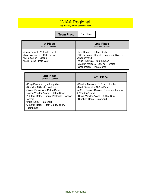#### WIAA Regional

Top 4 qualify for the Sectional Meet

**Team Place** 1st Place

| <b>1st Place</b>                                                                                                   | 2nd Place                                                                                                                                                                                   |
|--------------------------------------------------------------------------------------------------------------------|---------------------------------------------------------------------------------------------------------------------------------------------------------------------------------------------|
| <b>Sectional Qualifier</b>                                                                                         | <b>Sectional Qualifier</b>                                                                                                                                                                  |
| >Greg Parent - 110 m H Hurdles<br>>Matt VandeHei - 1600 m Run<br>>Mike Cullen - Discus<br>>Luis Perez - Pole Vault | >Ben Daniels - 100 m Dash<br>>800 m Relay - Daniels, Pasterski, Bloor, J.<br>VandenAvond<br>>Mike - Servais - 400 m Dash<br>>Weston Malcore - 300 m I Hurdles<br>>Greg Parent - Triple Jump |

| 3rd Place<br><b>Sectional Qualifier</b>                                                                                                                                                                                                                                  | 4th Place                                                                                                                                                                                       |
|--------------------------------------------------------------------------------------------------------------------------------------------------------------------------------------------------------------------------------------------------------------------------|-------------------------------------------------------------------------------------------------------------------------------------------------------------------------------------------------|
| >Greg Parent - High Jump (tie)<br>>Brandon Mills - Long Jump<br>>Taylor Pasterski - 400 m Dash<br>>Jesse VandenAvond - 200 m Dash<br>>1600 m Relay - Smits, Pasterski, Dobson,<br>Servais<br>>Mike Keim - Pole Vault<br>>3200 m Relay - Pfaff, Bieda, Zahn,<br>Huempfner | >Weston Malcore - 110 m H Hurdles<br>>Matt Pieschek - 100 m Dash<br>>400 m Relay - Daniels, Pieschek, Larson,<br>J. VandenAvond<br>>Steve VandenAvond - 800 m Run<br>>Stephen Hess - Pole Vault |